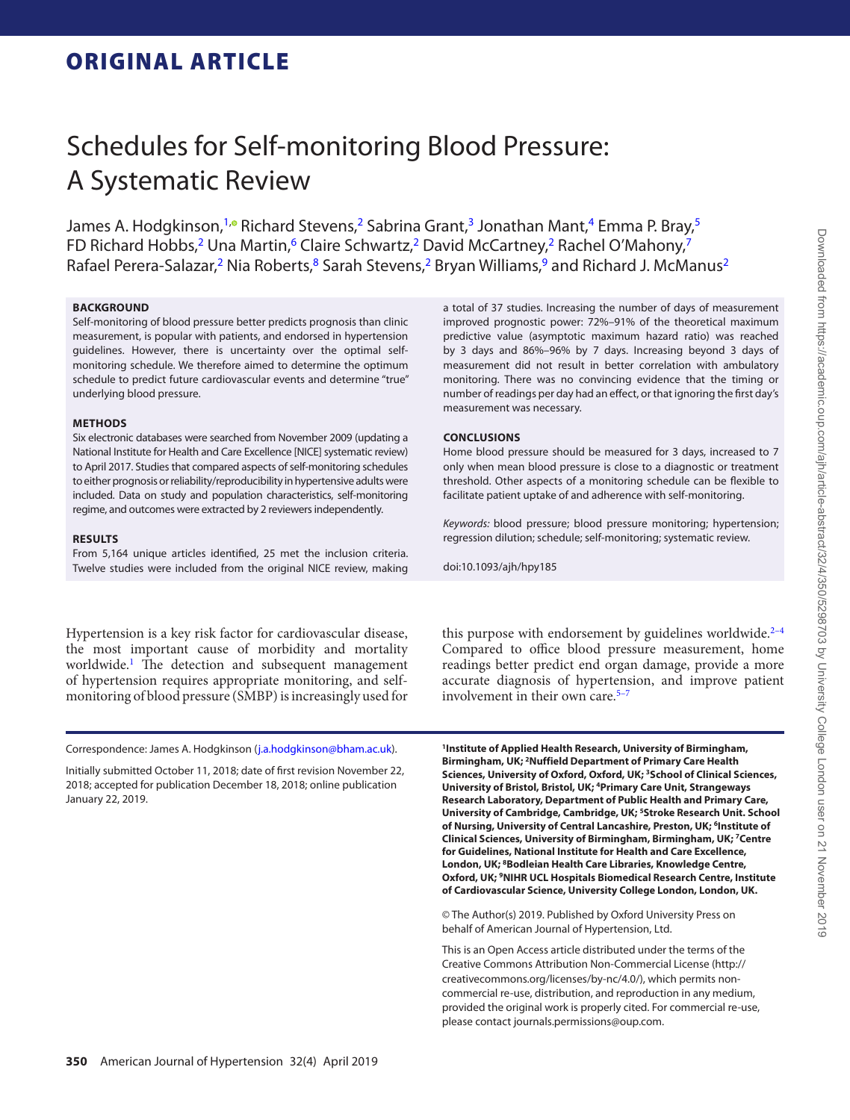# Original Article

# Schedules for Self-monitoring Blood Pressure: A Systematic Review

James A. Hodgkinson,<sup>1,®</sup> Richard Stevens,<sup>2</sup> Sabrina Grant,<sup>3</sup> Jonathan Mant,<sup>4</sup> Emma P. Bray,<sup>5</sup> FD Richard Hobbs,<sup>2</sup> Una Martin,<sup>6</sup> Claire Schwartz,<sup>2</sup> David McCartney,<sup>2</sup> Rachel O'Mahony,<sup>7</sup> Rafael Perera-Salazar,<sup>2</sup> Nia Roberts,<sup>8</sup> Sarah Stevens,<sup>2</sup> Bryan Williams,<sup>9</sup> and Richard J. McManus<sup>2</sup>

#### **BACKGROUND**

Self-monitoring of blood pressure better predicts prognosis than clinic measurement, is popular with patients, and endorsed in hypertension guidelines. However, there is uncertainty over the optimal selfmonitoring schedule. We therefore aimed to determine the optimum schedule to predict future cardiovascular events and determine "true" underlying blood pressure.

#### **METHODS**

Six electronic databases were searched from November 2009 (updating a National Institute for Health and Care Excellence [NICE] systematic review) to April 2017. Studies that compared aspects of self-monitoring schedules to either prognosis or reliability/reproducibility in hypertensive adults were included. Data on study and population characteristics, self-monitoring regime, and outcomes were extracted by 2 reviewers independently.

#### **RESULTS**

From 5,164 unique articles identified, 25 met the inclusion criteria. Twelve studies were included from the original NICE review, making

Hypertension is a key risk factor for cardiovascular disease, the most important cause of morbidity and mortality worldwide.<sup>1</sup> The detection and subsequent management of hypertension requires appropriate monitoring, and selfmonitoring of blood pressure (SMBP) is increasingly used for

Correspondence: James A. Hodgkinson ([j.a.hodgkinson@bham.ac.uk\)](mailto:j.a.hodgkinson@bham.ac.uk?subject=).

Initially submitted October 11, 2018; date of first revision November 22, 2018; accepted for publication December 18, 2018; online publication January 22, 2019.

<span id="page-0-5"></span><span id="page-0-4"></span><span id="page-0-3"></span><span id="page-0-2"></span><span id="page-0-1"></span><span id="page-0-0"></span>**1Institute of Applied Health Research, University of Birmingham, Birmingham, UK; 2Nuffield Department of Primary Care Health Sciences, University of Oxford, Oxford, UK; 3School of Clinical Sciences, University of Bristol, Bristol, UK; 4Primary Care Unit, Strangeways Research Laboratory, Department of Public Health and Primary Care, University of Cambridge, Cambridge, UK; 5Stroke Research Unit. School of Nursing, University of Central Lancashire, Preston, UK; 6Institute of Clinical Sciences, University of Birmingham, Birmingham, UK; 7Centre for Guidelines, National Institute for Health and Care Excellence, London, UK; 8Bodleian Health Care Libraries, Knowledge Centre, Oxford, UK; 9NIHR UCL Hospitals Biomedical Research Centre, Institute of Cardiovascular Science, University College London, London, UK.** 

<span id="page-0-8"></span><span id="page-0-7"></span><span id="page-0-6"></span>© The Author(s) 2019. Published by Oxford University Press on behalf of American Journal of Hypertension, Ltd.

This is an Open Access article distributed under the terms of the Creative Commons Attribution Non-Commercial License (http:// creativecommons.org/licenses/by-nc/4.0/), which permits noncommercial re-use, distribution, and reproduction in any medium, provided the original work is properly cited. For commercial re-use, please contact journals.permissions@oup.com.

a total of 37 studies. Increasing the number of days of measurement improved prognostic power: 72%–91% of the theoretical maximum predictive value (asymptotic maximum hazard ratio) was reached by 3 days and 86%–96% by 7 days. Increasing beyond 3 days of measurement did not result in better correlation with ambulatory monitoring. There was no convincing evidence that the timing or number of readings per day had an effect, or that ignoring the first day's measurement was necessary.

# **CONCLUSIONS**

Home blood pressure should be measured for 3 days, increased to 7 only when mean blood pressure is close to a diagnostic or treatment threshold. Other aspects of a monitoring schedule can be flexible to facilitate patient uptake of and adherence with self-monitoring.

*Keywords:* blood pressure; blood pressure monitoring; hypertension; regression dilution; schedule; self-monitoring; systematic review.

this purpose with endorsement by guidelines worldwide. $2-4$ Compared to office blood pressure measurement, home readings better predict end organ damage, provide a more accurate diagnosis of hypertension, and improve patient

doi:10.1093/ajh/hpy185

involvement in their own care.<sup>5-7</sup>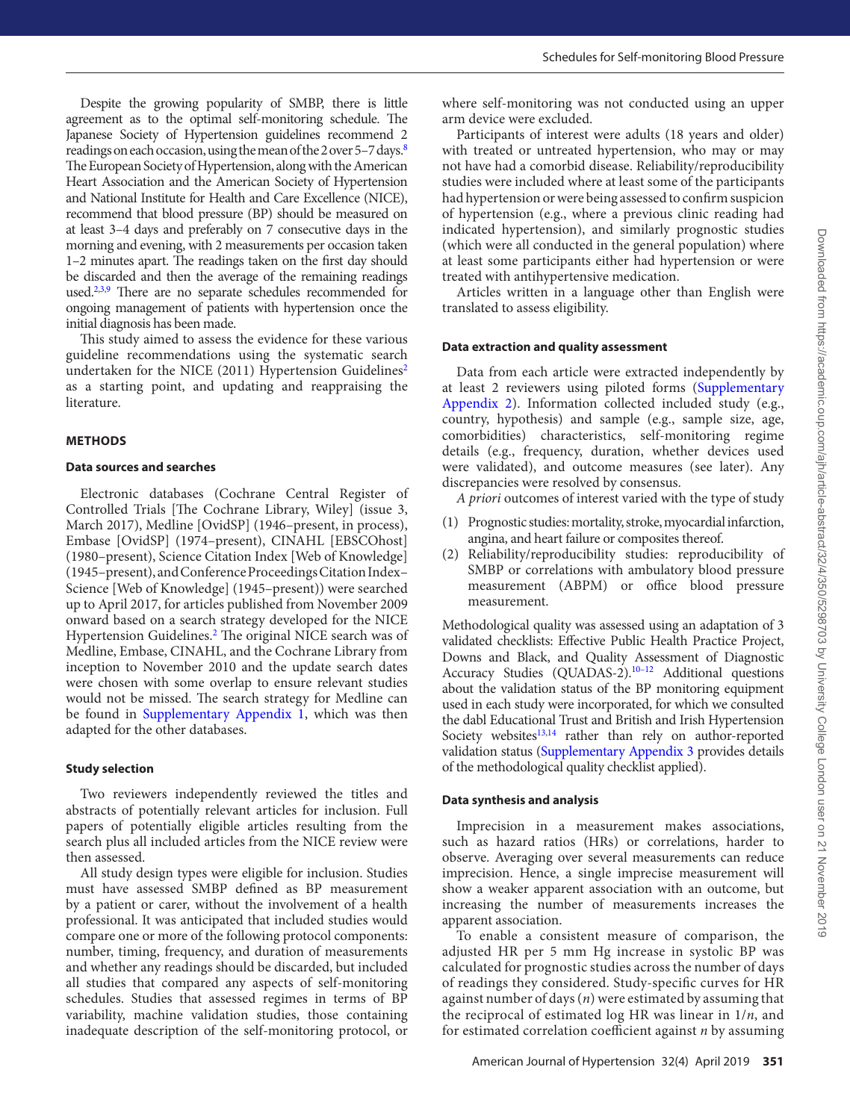Participants of interest were adults (18 years and older) with treated or untreated hypertension, who may or may not have had a comorbid disease. Reliability/reproducibility studies were included where at least some of the participants had hypertension or were being assessed to confirm suspicion of hypertension (e.g., where a previous clinic reading had indicated hypertension), and similarly prognostic studies (which were all conducted in the general population) where at least some participants either had hypertension or were treated with antihypertensive medication.

Articles written in a language other than English were translated to assess eligibility.

#### **Data extraction and quality assessment**

Data from each article were extracted independently by at least 2 reviewers using piloted forms [\(Supplementary](http://academic.oup.com/ajh/article-lookup/doi/10.1093/ajh/hpy185#supplementary-data)  [Appendix 2\)](http://academic.oup.com/ajh/article-lookup/doi/10.1093/ajh/hpy185#supplementary-data). Information collected included study (e.g., country, hypothesis) and sample (e.g., sample size, age, comorbidities) characteristics, self-monitoring regime details (e.g., frequency, duration, whether devices used were validated), and outcome measures (see later). Any discrepancies were resolved by consensus.

*A priori* outcomes of interest varied with the type of study

- (1) Prognostic studies: mortality, stroke, myocardial infarction, angina, and heart failure or composites thereof.
- (2) Reliability/reproducibility studies: reproducibility of SMBP or correlations with ambulatory blood pressure measurement (ABPM) or office blood pressure measurement.

Methodological quality was assessed using an adaptation of 3 validated checklists: Effective Public Health Practice Project, Downs and Black, and Quality Assessment of Diagnostic Accuracy Studies (QUADAS-2).<sup>10-12</sup> Additional questions about the validation status of the BP monitoring equipment used in each study were incorporated, for which we consulted the dabl Educational Trust and British and Irish Hypertension Society websites<sup>13,14</sup> rather than rely on author-reported validation status [\(Supplementary Appendix 3](http://academic.oup.com/ajh/article-lookup/doi/10.1093/ajh/hpy185#supplementary-data) provides details of the methodological quality checklist applied).

# **Data synthesis and analysis**

Imprecision in a measurement makes associations, such as hazard ratios (HRs) or correlations, harder to observe. Averaging over several measurements can reduce imprecision. Hence, a single imprecise measurement will show a weaker apparent association with an outcome, but increasing the number of measurements increases the apparent association.

To enable a consistent measure of comparison, the adjusted HR per 5 mm Hg increase in systolic BP was calculated for prognostic studies across the number of days of readings they considered. Study-specific curves for HR against number of days (*n*) were estimated by assuming that the reciprocal of estimated log HR was linear in 1/*n*, and for estimated correlation coefficient against *n* by assuming

American Journal of Hypertension 32(4) April 2019 **351**

Schedules for Self-monitoring Blood Pressure

Despite the growing popularity of SMBP, there is little agreement as to the optimal self-monitoring schedule. The Japanese Society of Hypertension guidelines recommend 2 readings on each occasion, using the mean of the 2 over 5-7 days.<sup>8</sup> The European Society of Hypertension, along with the American Heart Association and the American Society of Hypertension and National Institute for Health and Care Excellence (NICE), recommend that blood pressure (BP) should be measured on at least 3–4 days and preferably on 7 consecutive days in the morning and evening, with 2 measurements per occasion taken 1–2 minutes apart. The readings taken on the first day should be discarded and then the average of the remaining readings used.[2,](#page-13-1)[3](#page-13-2)[,9](#page-14-1) There are no separate schedules recommended for ongoing management of patients with hypertension once the

This study aimed to assess the evidence for these various guideline recommendations using the systematic search undertaken for the NICE  $(2011)$  $(2011)$  $(2011)$  Hypertension Guidelines<sup>2</sup> as a starting point, and updating and reappraising the literature.

# **METHODS**

# **Data sources and searches**

initial diagnosis has been made.

Electronic databases (Cochrane Central Register of Controlled Trials [The Cochrane Library, Wiley] (issue 3, March 2017), Medline [OvidSP] (1946–present, in process), Embase [OvidSP] (1974–present), CINAHL [EBSCOhost] (1980–present), Science Citation Index [Web of Knowledge] (1945–present), and Conference Proceedings Citation Index– Science [Web of Knowledge] (1945–present)) were searched up to April 2017, for articles published from November 2009 onward based on a search strategy developed for the NICE Hypertension Guidelines.<sup>[2](#page-13-1)</sup> The original NICE search was of Medline, Embase, CINAHL, and the Cochrane Library from inception to November 2010 and the update search dates were chosen with some overlap to ensure relevant studies would not be missed. The search strategy for Medline can be found in [Supplementary Appendix 1,](http://academic.oup.com/ajh/article-lookup/doi/10.1093/ajh/hpy185#supplementary-data) which was then adapted for the other databases.

# **Study selection**

Two reviewers independently reviewed the titles and abstracts of potentially relevant articles for inclusion. Full papers of potentially eligible articles resulting from the search plus all included articles from the NICE review were then assessed.

All study design types were eligible for inclusion. Studies must have assessed SMBP defined as BP measurement by a patient or carer, without the involvement of a health professional. It was anticipated that included studies would compare one or more of the following protocol components: number, timing, frequency, and duration of measurements and whether any readings should be discarded, but included all studies that compared any aspects of self-monitoring schedules. Studies that assessed regimes in terms of BP variability, machine validation studies, those containing inadequate description of the self-monitoring protocol, or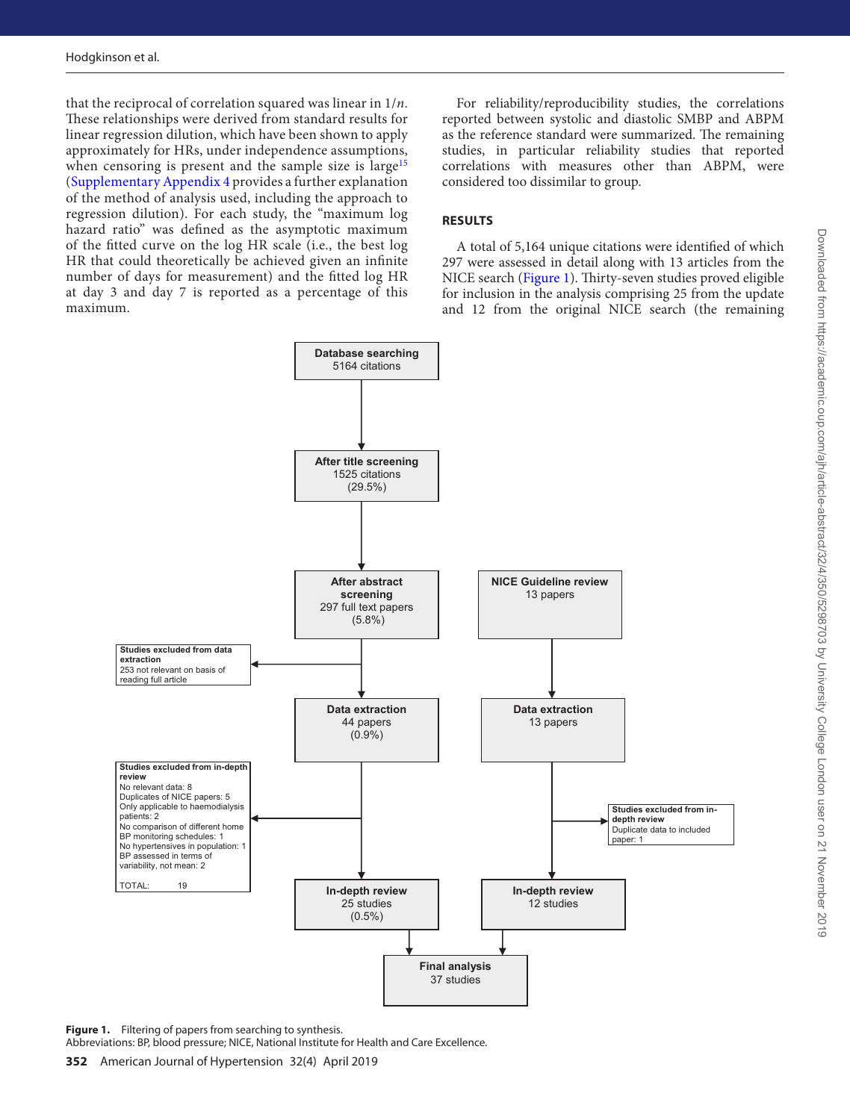that the reciprocal of correlation squared was linear in 1/*n*. These relationships were derived from standard results for linear regression dilution, which have been shown to apply approximately for HRs, under independence assumptions, when censoring is present and the sample size is  $\text{large}^{15}$  $\text{large}^{15}$  $\text{large}^{15}$ ([Supplementary Appendix 4](http://academic.oup.com/ajh/article-lookup/doi/10.1093/ajh/hpy185#supplementary-data) provides a further explanation of the method of analysis used, including the approach to regression dilution). For each study, the "maximum log hazard ratio" was defined as the asymptotic maximum of the fitted curve on the log HR scale (i.e., the best log HR that could theoretically be achieved given an infinite number of days for measurement) and the fitted log HR at day 3 and day 7 is reported as a percentage of this maximum.

For reliability/reproducibility studies, the correlations reported between systolic and diastolic SMBP and ABPM as the reference standard were summarized. The remaining studies, in particular reliability studies that reported correlations with measures other than ABPM, were considered too dissimilar to group.

# **RESULTS**

A total of 5,164 unique citations were identified of which 297 were assessed in detail along with 13 articles from the NICE search [\(Figure 1](#page-2-0)). Thirty-seven studies proved eligible for inclusion in the analysis comprising 25 from the update and 12 from the original NICE search (the remaining



<span id="page-2-0"></span>**Figure 1.** Filtering of papers from searching to synthesis.

Abbreviations: BP, blood pressure; NICE, National Institute for Health and Care Excellence.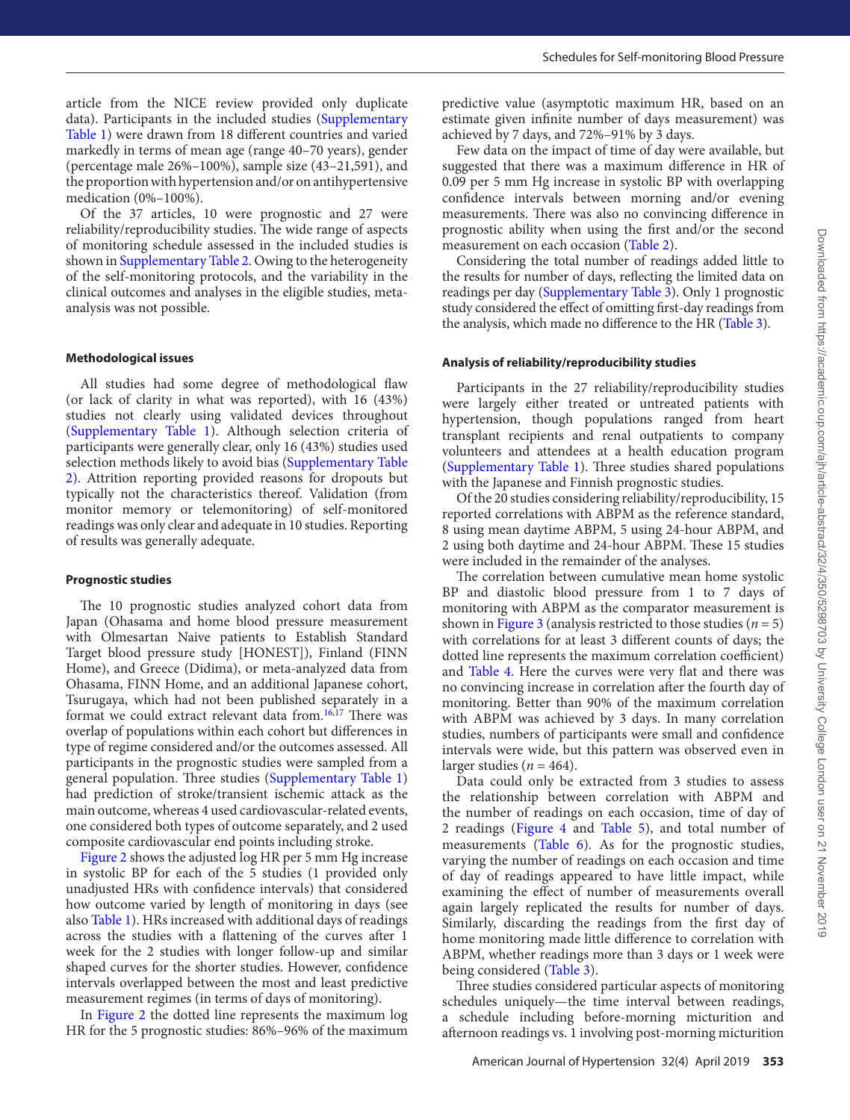article from the NICE review provided only duplicate data). Participants in the included studies [\(Supplementary](http://academic.oup.com/ajh/article-lookup/doi/10.1093/ajh/hpy185#supplementary-data)  [Table 1\)](http://academic.oup.com/ajh/article-lookup/doi/10.1093/ajh/hpy185#supplementary-data) were drawn from 18 different countries and varied markedly in terms of mean age (range 40–70 years), gender (percentage male 26%–100%), sample size (43–21,591), and the proportion with hypertension and/or on antihypertensive medication (0%–100%).

Of the 37 articles, 10 were prognostic and 27 were reliability/reproducibility studies. The wide range of aspects of monitoring schedule assessed in the included studies is shown in [Supplementary Table 2.](http://academic.oup.com/ajh/article-lookup/doi/10.1093/ajh/hpy185#supplementary-data) Owing to the heterogeneity of the self-monitoring protocols, and the variability in the clinical outcomes and analyses in the eligible studies, metaanalysis was not possible.

## **Methodological issues**

All studies had some degree of methodological flaw (or lack of clarity in what was reported), with 16 (43%) studies not clearly using validated devices throughout [\(Supplementary Table 1](http://academic.oup.com/ajh/article-lookup/doi/10.1093/ajh/hpy185#supplementary-data)). Although selection criteria of participants were generally clear, only 16 (43%) studies used selection methods likely to avoid bias (Supplementary Table [2\)](http://academic.oup.com/ajh/article-lookup/doi/10.1093/ajh/hpy185#supplementary-data). Attrition reporting provided reasons for dropouts but typically not the characteristics thereof. Validation (from monitor memory or telemonitoring) of self-monitored readings was only clear and adequate in 10 studies. Reporting of results was generally adequate.

#### **Prognostic studies**

The 10 prognostic studies analyzed cohort data from Japan (Ohasama and home blood pressure measurement with Olmesartan Naive patients to Establish Standard Target blood pressure study [HONEST]), Finland (FINN Home), and Greece (Didima), or meta-analyzed data from Ohasama, FINN Home, and an additional Japanese cohort, Tsurugaya, which had not been published separately in a format we could extract relevant data from.<sup>16,[17](#page-14-6)</sup> There was overlap of populations within each cohort but differences in type of regime considered and/or the outcomes assessed. All participants in the prognostic studies were sampled from a general population. Three studies [\(Supplementary Table 1](http://academic.oup.com/ajh/article-lookup/doi/10.1093/ajh/hpy185#supplementary-data)) had prediction of stroke/transient ischemic attack as the main outcome, whereas 4 used cardiovascular-related events, one considered both types of outcome separately, and 2 used composite cardiovascular end points including stroke.

[Figure 2](#page-4-0) shows the adjusted log HR per 5 mm Hg increase in systolic BP for each of the 5 studies (1 provided only unadjusted HRs with confidence intervals) that considered how outcome varied by length of monitoring in days (see also [Table 1\)](#page-5-0). HRs increased with additional days of readings across the studies with a flattening of the curves after 1 week for the 2 studies with longer follow-up and similar shaped curves for the shorter studies. However, confidence intervals overlapped between the most and least predictive measurement regimes (in terms of days of monitoring).

In [Figure 2](#page-4-0) the dotted line represents the maximum log HR for the 5 prognostic studies: 86%–96% of the maximum predictive value (asymptotic maximum HR, based on an estimate given infinite number of days measurement) was achieved by 7 days, and 72%–91% by 3 days.

Few data on the impact of time of day were available, but suggested that there was a maximum difference in HR of 0.09 per 5 mm Hg increase in systolic BP with overlapping confidence intervals between morning and/or evening measurements. There was also no convincing difference in prognostic ability when using the first and/or the second measurement on each occasion [\(Table 2\)](#page-6-0).

Considering the total number of readings added little to the results for number of days, reflecting the limited data on readings per day [\(Supplementary Table 3](http://academic.oup.com/ajh/article-lookup/doi/10.1093/ajh/hpy185#supplementary-data)). Only 1 prognostic study considered the effect of omitting first-day readings from the analysis, which made no difference to the HR [\(Table 3\)](#page-7-0).

#### **Analysis of reliability/reproducibility studies**

Participants in the 27 reliability/reproducibility studies were largely either treated or untreated patients with hypertension, though populations ranged from heart transplant recipients and renal outpatients to company volunteers and attendees at a health education program [\(Supplementary Table 1](http://academic.oup.com/ajh/article-lookup/doi/10.1093/ajh/hpy185#supplementary-data)). Three studies shared populations with the Japanese and Finnish prognostic studies.

Of the 20 studies considering reliability/reproducibility, 15 reported correlations with ABPM as the reference standard, 8 using mean daytime ABPM, 5 using 24-hour ABPM, and 2 using both daytime and 24-hour ABPM. These 15 studies were included in the remainder of the analyses.

The correlation between cumulative mean home systolic BP and diastolic blood pressure from 1 to 7 days of monitoring with ABPM as the comparator measurement is shown in [Figure 3](#page-8-0) (analysis restricted to those studies  $(n = 5)$ ) with correlations for at least 3 different counts of days; the dotted line represents the maximum correlation coefficient) and [Table 4](#page-9-0). Here the curves were very flat and there was no convincing increase in correlation after the fourth day of monitoring. Better than 90% of the maximum correlation with ABPM was achieved by 3 days. In many correlation studies, numbers of participants were small and confidence intervals were wide, but this pattern was observed even in larger studies ( $n = 464$ ).

Data could only be extracted from 3 studies to assess the relationship between correlation with ABPM and the number of readings on each occasion, time of day of 2 readings ([Figure 4](#page-11-0) and [Table 5\)](#page-12-0), and total number of measurements [\(Table 6\)](#page-12-1). As for the prognostic studies, varying the number of readings on each occasion and time of day of readings appeared to have little impact, while examining the effect of number of measurements overall again largely replicated the results for number of days. Similarly, discarding the readings from the first day of home monitoring made little difference to correlation with ABPM, whether readings more than 3 days or 1 week were being considered ([Table 3](#page-7-0)).

Three studies considered particular aspects of monitoring schedules uniquely—the time interval between readings, a schedule including before-morning micturition and afternoon readings vs. 1 involving post-morning micturition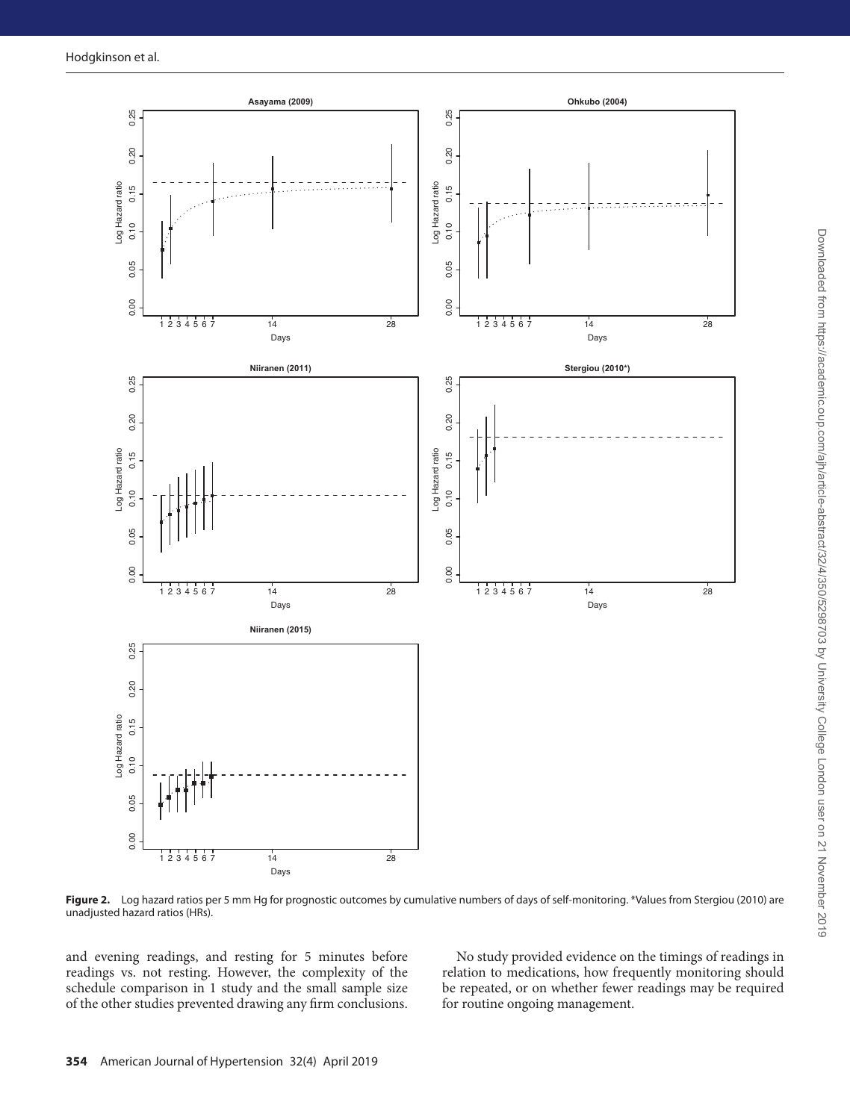

<span id="page-4-0"></span>Figure 2. Log hazard ratios per 5 mm Hg for prognostic outcomes by cumulative numbers of days of self-monitoring. \*Values from Stergiou (2010) are unadjusted hazard ratios (HRs).

and evening readings, and resting for 5 minutes before readings vs. not resting. However, the complexity of the schedule comparison in 1 study and the small sample size of the other studies prevented drawing any firm conclusions.

No study provided evidence on the timings of readings in relation to medications, how frequently monitoring should be repeated, or on whether fewer readings may be required for routine ongoing management.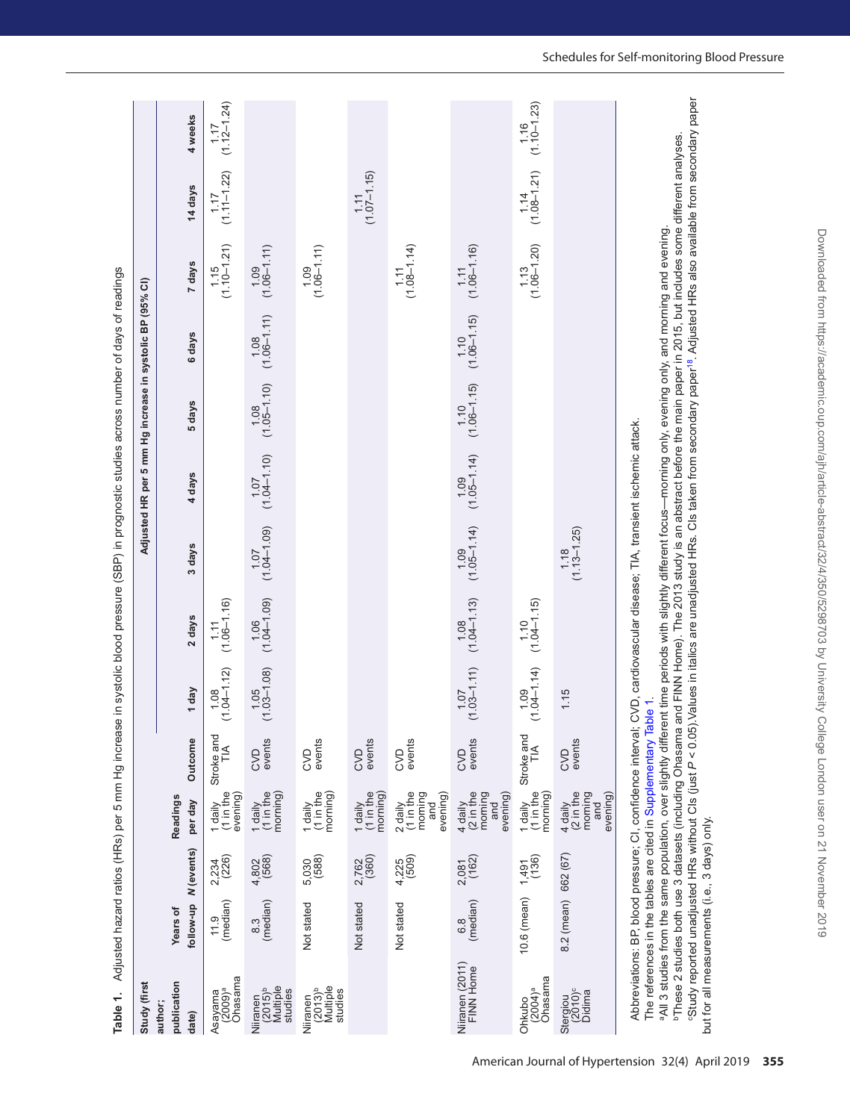| Study (first                                    |                        |                                                         |                                                      |                      |                                                      |                                                                                |                                                                                                                                                                                                                                                                                                                                                                                                                                                                                                                                                                                                                                                                                           |                 | Adjusted HR per 5 mm Hg increase in systolic BP (95% CI) |                                                 |                 |                                                                        |                 |
|-------------------------------------------------|------------------------|---------------------------------------------------------|------------------------------------------------------|----------------------|------------------------------------------------------|--------------------------------------------------------------------------------|-------------------------------------------------------------------------------------------------------------------------------------------------------------------------------------------------------------------------------------------------------------------------------------------------------------------------------------------------------------------------------------------------------------------------------------------------------------------------------------------------------------------------------------------------------------------------------------------------------------------------------------------------------------------------------------------|-----------------|----------------------------------------------------------|-------------------------------------------------|-----------------|------------------------------------------------------------------------|-----------------|
| publication<br>author;<br>date)                 | follow-up<br>Years of  | N (events)                                              | Readings<br>per day                                  | Outcome              | 1 day                                                | 2 days                                                                         | 3 days                                                                                                                                                                                                                                                                                                                                                                                                                                                                                                                                                                                                                                                                                    | 4 days          | 5 days                                                   | 6 days                                          | 7 days          | 14 days                                                                | 4 weeks         |
| Ohasama<br>Asayama<br>(2009)ª                   | (median)               | 2,234<br>(226)                                          | evening)<br>1 daily<br>(1 in the                     | Stroke and<br>TIA    | $\begin{array}{c} 1.08 \\ (1.04 - 1.12) \end{array}$ | $(1.06 - 1.16)$                                                                |                                                                                                                                                                                                                                                                                                                                                                                                                                                                                                                                                                                                                                                                                           |                 |                                                          |                                                 | $(1.10 - 1.21)$ | $\begin{array}{c} 1.17 \\ (1.11 - 1.22) \end{array}$                   | $(1.12 - 1.24)$ |
| Multiple<br>$(2015)^{b}$<br>studies<br>Niiranen | $\frac{8.3}{(median)}$ | 4,802<br>(568)                                          | morning)<br>1 daily<br>(1 in the                     | CVD<br>events        |                                                      |                                                                                | $(11.1-90.1)$ $(11.1-90.1)$ $(01.1-90.1)$ $(01.1-10.1)$ $(00.1-10.1)$ $(00.1-10.1)$ $(00.1-0.1)$<br>$(10.1-0.01)$ $(0.1-0.01)$ $(0.1-0.01)$ $(0.1-0.01)$ $(0.1-0.01)$ $(0.1-0.01)$ $(0.1-0.01)$                                                                                                                                                                                                                                                                                                                                                                                                                                                                                           |                 |                                                          |                                                 |                 |                                                                        |                 |
| $(2013)^b$<br>Multiple<br>studies<br>Niiranen   | Not stated             | 5,030<br>(588)                                          | 1 daily<br>(1 in the<br>morning)                     | events<br><b>CVD</b> |                                                      |                                                                                |                                                                                                                                                                                                                                                                                                                                                                                                                                                                                                                                                                                                                                                                                           |                 |                                                          |                                                 | $(1.06 - 1.11)$ |                                                                        |                 |
|                                                 | Not stated             | 2,762<br>(360)                                          | 1 daily<br>(1 in the<br>morning)                     | events<br><b>CVD</b> |                                                      |                                                                                |                                                                                                                                                                                                                                                                                                                                                                                                                                                                                                                                                                                                                                                                                           |                 |                                                          |                                                 |                 | $(1.07 - 1.15)$                                                        |                 |
|                                                 | Not stated             | 4,225<br>(509)                                          | evening)<br>2 daily<br>(1 in the<br>morning<br>and   | events<br>CVD        |                                                      |                                                                                |                                                                                                                                                                                                                                                                                                                                                                                                                                                                                                                                                                                                                                                                                           |                 |                                                          |                                                 | $(1.08 - 1.14)$ |                                                                        |                 |
| Niiranen (2011)<br>FINN Home                    | $6.8$<br>(median)      | 2,081<br>(162)                                          | evening)<br>$4$ daily<br>(2 in the<br>morning<br>and | events<br><b>CVD</b> |                                                      | $\begin{array}{cc}\n (1.07 & 1.08 \\  (1.03-1.11) & (1.04-1.13)\n \end{array}$ | $(1.05 - 1.14)$                                                                                                                                                                                                                                                                                                                                                                                                                                                                                                                                                                                                                                                                           | $(1.05 - 1.14)$ |                                                          | $(1.06 - 1.15)$ $(1.06 - 1.15)$ $(1.06 - 1.16)$ |                 |                                                                        |                 |
| <b>Ohasama</b><br>Ohkubo<br>(2004)ª             | 10.6 (mean)            | $1,491$<br>$(136)$                                      | 1 daily<br>(1 in the<br>morning)                     | Stroke and           | $(1.04 - 1.14)$ $(1.04 - 1.15)$                      |                                                                                |                                                                                                                                                                                                                                                                                                                                                                                                                                                                                                                                                                                                                                                                                           |                 |                                                          |                                                 | $(1.06 - 1.20)$ | $\begin{array}{cc} 1.14 \\ (1.08 - 1.21) \\ (1.10 - 1.23) \end{array}$ |                 |
| Stergiou<br>(2010) <sup>c</sup><br>Didima       |                        | 8.2 (mean) 662 (67)                                     | evening)<br>$4$ daily<br>(2 in the<br>moming<br>and  | events<br>CVD        | 1.15                                                 |                                                                                | $(1.13 - 1.25)$                                                                                                                                                                                                                                                                                                                                                                                                                                                                                                                                                                                                                                                                           |                 |                                                          |                                                 |                 |                                                                        |                 |
| but for all measurements (i.e., 3 days) only.   |                        | The references in the tables are cited in Supplementary |                                                      |                      | Table <sup>-</sup>                                   |                                                                                | °Study reported unadjusted HRs without Cls (just P < 0.05).Values in italics are unadjusted HRs. Cls taken from secondary paper <sup>18</sup> . Adjusted HRs also available from secondary paper<br><sup>b</sup> These 2 studies both use 3 datasets (including Ohasama and FINN Home). The 2013 study is an abstract before the main paper in 2015, but includes some different analyses.<br>All 3 studies from the same population, over slightly different time periods with slightly different focus—morning only, evening only, and morning and evening.<br>Abbreviations: BP, blood pressure; CI, confidence interval; CVD, cardiovascular disease; TIA, transient ischemic attack. |                 |                                                          |                                                 |                 |                                                                        |                 |

Downloaded from https://academic.oup.com/ajh/article-abstract/32/4/350/5298703 by University College London user on 21 November 2019

Downloaded from https://academic.oup.com/ajh/article-abstract/32/4/350/5298703 by University College London user on 21 November 2019

<span id="page-5-0"></span>American Journal of Hypertension 32(4) April 2019 **355**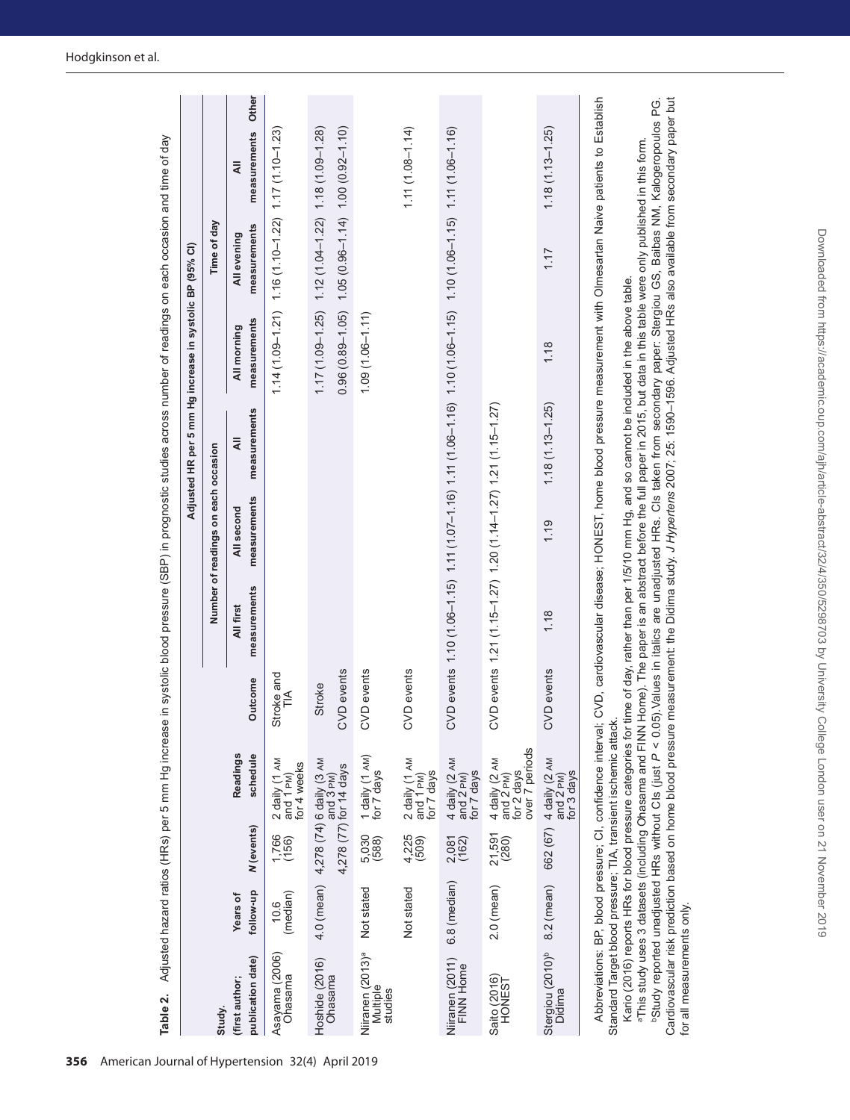<span id="page-6-0"></span>

|                                                                          |                       |                 |                                                                                                                                                                                        |                   |                                                               |                                     |                                                                                                                                                     |                             | Table 2. Adjusted hazard ratios (HRs) per 5 mm Hg increase in systolic blood pressure (SBP) in prognostic studies across number of readings on each occasion and time of day     |                                                                                                                                                                                                                                                                                                                                                                                                                                       |
|--------------------------------------------------------------------------|-----------------------|-----------------|----------------------------------------------------------------------------------------------------------------------------------------------------------------------------------------|-------------------|---------------------------------------------------------------|-------------------------------------|-----------------------------------------------------------------------------------------------------------------------------------------------------|-----------------------------|----------------------------------------------------------------------------------------------------------------------------------------------------------------------------------|---------------------------------------------------------------------------------------------------------------------------------------------------------------------------------------------------------------------------------------------------------------------------------------------------------------------------------------------------------------------------------------------------------------------------------------|
|                                                                          |                       |                 |                                                                                                                                                                                        |                   |                                                               |                                     | Adjusted HR per 5 mm Hg increase in systolic BP (95% CI)                                                                                            |                             |                                                                                                                                                                                  |                                                                                                                                                                                                                                                                                                                                                                                                                                       |
| Study.                                                                   |                       |                 |                                                                                                                                                                                        |                   |                                                               | Number of readings on each occasion |                                                                                                                                                     |                             | Time of day                                                                                                                                                                      |                                                                                                                                                                                                                                                                                                                                                                                                                                       |
| publication date)<br>(first author;                                      | qu-wollot<br>Years of | N (events)      | Readings<br>schedule                                                                                                                                                                   | Outcome           | measurements<br>All first                                     | measurements<br>All second          | measurements<br>₹                                                                                                                                   | measurements<br>All morning | measurements<br>All evening                                                                                                                                                      | Other<br>measurements<br>₹                                                                                                                                                                                                                                                                                                                                                                                                            |
| Asayama (2006)<br>Ohasama                                                | (median)<br>10.6      | 1,766<br>(156)  | 2 daily (1 AM<br>and 1 PM)<br>for 4 weeks                                                                                                                                              | Stroke and<br>TIA |                                                               |                                     |                                                                                                                                                     |                             | $1.14(1.09 - 1.21)$ $1.16(1.10 - 1.22)$ $1.17(1.10 - 1.23)$                                                                                                                      |                                                                                                                                                                                                                                                                                                                                                                                                                                       |
| Hoshide (2016)<br><b>Ohasama</b>                                         |                       |                 | 4.0 (mean) 4,278 (74) 6 daily (3 AM<br>and 3 PM)                                                                                                                                       | Stroke            |                                                               |                                     |                                                                                                                                                     |                             | $1.17(1.09 - 1.25)$ $1.12(1.04 - 1.22)$ $1.18(1.09 - 1.28)$                                                                                                                      |                                                                                                                                                                                                                                                                                                                                                                                                                                       |
|                                                                          |                       |                 | 4,278 (77) for 14 days                                                                                                                                                                 | CVD events        |                                                               |                                     |                                                                                                                                                     |                             | $0.96(0.89 - 1.05)$ 1.05 $(0.96 - 1.14)$ 1.00 $(0.92 - 1.10)$                                                                                                                    |                                                                                                                                                                                                                                                                                                                                                                                                                                       |
| Niiranen (2013) <sup>a</sup><br>Multiple<br>studies                      | Not stated            | 5,030<br>(588)  | 1 daily (1 AM)<br>for 7 days                                                                                                                                                           | CVD events        |                                                               |                                     |                                                                                                                                                     | $1.09(1.06 - 1.11)$         |                                                                                                                                                                                  |                                                                                                                                                                                                                                                                                                                                                                                                                                       |
|                                                                          | Not stated            | 4,225<br>(509)  | 2 daily (1 AM<br>and 1 PM)<br>for 7 days                                                                                                                                               | CVD events        |                                                               |                                     |                                                                                                                                                     |                             |                                                                                                                                                                                  | $1.11(1.08 - 1.14)$                                                                                                                                                                                                                                                                                                                                                                                                                   |
| Niiranen (2011)<br>FINN Home                                             | 6.8 (median)          | 2,081<br>(162)  | 4 daily (2 AM<br>and 2 PM)<br>for 7 days                                                                                                                                               |                   |                                                               |                                     |                                                                                                                                                     |                             | CVD events 1.10 (1.15) 1.11 (1.07-1.15) 1.11 (1.07-1.16) 1.10 (1.06-1.15) 1.10 (1.06-1.15) 1.11 (1.06-1.16)                                                                      |                                                                                                                                                                                                                                                                                                                                                                                                                                       |
| Saito (2016)<br>HONEST                                                   | 2.0 (mean)            | 21,591<br>(280) | over 7 periods<br>4 daily (2 AM<br>and 2 PM)<br>for 2 days                                                                                                                             |                   | CVD events 1.21 (1.15–1.27) 1.20 (1.14–1.27) 1.21 (1.15–1.27) |                                     |                                                                                                                                                     |                             |                                                                                                                                                                                  |                                                                                                                                                                                                                                                                                                                                                                                                                                       |
| Stergiou (2010) <sup>b</sup> 8.2 (mean) 662 (67) 4 daily (2 AM<br>Didima |                       |                 | for 3 days                                                                                                                                                                             | CVD events        | 1.18                                                          | 1.19                                | $1.18(1.13 - 1.25)$                                                                                                                                 | 1.18                        | 1.17                                                                                                                                                                             | $1.18(1.13 - 1.25)$                                                                                                                                                                                                                                                                                                                                                                                                                   |
| for all measurements only                                                |                       |                 | Standard Target blood pressure; TIA, transient ischemic attack<br>bStudy reported unadjusted HRs without CIs (just P < 0<br>Cardiovascular risk prediction based on home blood pressur |                   |                                                               |                                     | Kario (2016) reports HRs for blood pressure categories for time of day, rather than per 1/5/10 mm Hg, and so cannot be included in the above table. |                             | a This study uses 3 datasets (including Ohasama and FINN Home). The paper is an abstract before the full paper in 2015, but data in this table were only published in this form. | e measurement: the Didima study. <i>J Hypertens</i> 2007; 25: 1590–1596. Adjusted HRs also available from secondary paper but<br>Abbreviations: BP, blood pressure, CI, confidence interval; CVD, cardiovascular disease; HONEST, home blood pressure measurement with Olmesartan Naive patients to Establish<br>.05) Values in italics are unadjusted HRs. Cls taken from secondary paper: Stergiou GS, Baibas NM, Kalogeropoulos PG |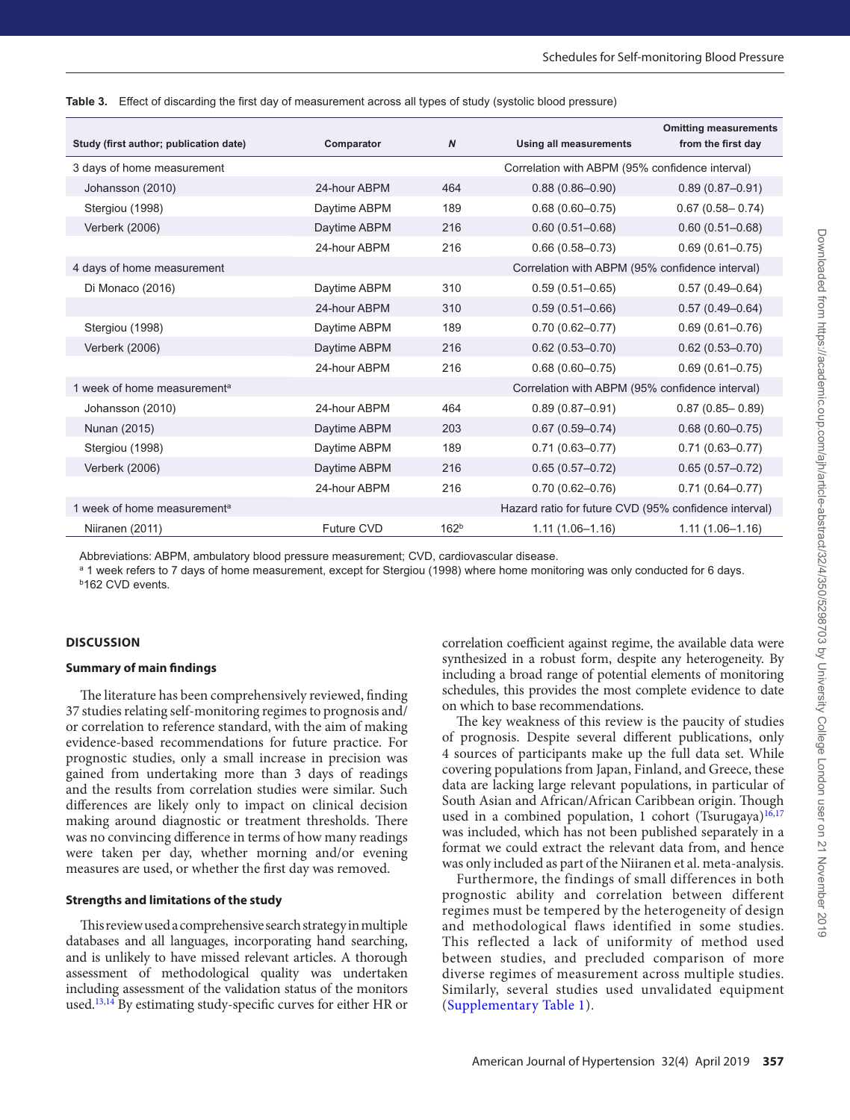<span id="page-7-0"></span>

|  |  | Table 3. Effect of discarding the first day of measurement across all types of study (systolic blood pressure) |
|--|--|----------------------------------------------------------------------------------------------------------------|
|--|--|----------------------------------------------------------------------------------------------------------------|

| Study (first author; publication date)  | Comparator        | $\boldsymbol{N}$ | <b>Using all measurements</b>                         | <b>Omitting measurements</b><br>from the first day |
|-----------------------------------------|-------------------|------------------|-------------------------------------------------------|----------------------------------------------------|
| 3 days of home measurement              |                   |                  | Correlation with ABPM (95% confidence interval)       |                                                    |
| Johansson (2010)                        | 24-hour ABPM      | 464              | $0.88(0.86 - 0.90)$                                   | $0.89(0.87 - 0.91)$                                |
| Stergiou (1998)                         | Daytime ABPM      | 189              | $0.68(0.60 - 0.75)$                                   | $0.67(0.58 - 0.74)$                                |
| <b>Verberk (2006)</b>                   | Daytime ABPM      | 216              | $0.60(0.51 - 0.68)$                                   | $0.60(0.51 - 0.68)$                                |
|                                         | 24-hour ABPM      | 216              | $0.66(0.58 - 0.73)$                                   | $0.69(0.61 - 0.75)$                                |
| 4 days of home measurement              |                   |                  | Correlation with ABPM (95% confidence interval)       |                                                    |
| Di Monaco (2016)                        | Daytime ABPM      | 310              | $0.59(0.51 - 0.65)$                                   | $0.57(0.49 - 0.64)$                                |
|                                         | 24-hour ABPM      | 310              | $0.59(0.51 - 0.66)$                                   | $0.57(0.49 - 0.64)$                                |
| Stergiou (1998)                         | Daytime ABPM      | 189              | $0.70(0.62 - 0.77)$                                   | $0.69(0.61 - 0.76)$                                |
| Verberk (2006)                          | Daytime ABPM      | 216              | $0.62(0.53 - 0.70)$                                   | $0.62(0.53 - 0.70)$                                |
|                                         | 24-hour ABPM      | 216              | $0.68(0.60 - 0.75)$                                   | $0.69(0.61 - 0.75)$                                |
| 1 week of home measurement <sup>a</sup> |                   |                  | Correlation with ABPM (95% confidence interval)       |                                                    |
| Johansson (2010)                        | 24-hour ABPM      | 464              | $0.89(0.87 - 0.91)$                                   | $0.87(0.85 - 0.89)$                                |
| Nunan (2015)                            | Daytime ABPM      | 203              | $0.67(0.59 - 0.74)$                                   | $0.68(0.60 - 0.75)$                                |
| Stergiou (1998)                         | Daytime ABPM      | 189              | $0.71(0.63 - 0.77)$                                   | $0.71(0.63 - 0.77)$                                |
| Verberk (2006)                          | Daytime ABPM      | 216              | $0.65(0.57-0.72)$                                     | $0.65(0.57 - 0.72)$                                |
|                                         | 24-hour ABPM      | 216              | $0.70(0.62 - 0.76)$                                   | $0.71(0.64 - 0.77)$                                |
| 1 week of home measurement <sup>a</sup> |                   |                  | Hazard ratio for future CVD (95% confidence interval) |                                                    |
| Niiranen (2011)                         | <b>Future CVD</b> | 162 <sup>b</sup> | $1.11(1.06 - 1.16)$                                   | $1.11(1.06 - 1.16)$                                |

Abbreviations: ABPM, ambulatory blood pressure measurement; CVD, cardiovascular disease.

a 1 week refers to 7 days of home measurement, except for Stergiou (1998) where home monitoring was only conducted for 6 days. **b162 CVD events.** 

#### **DISCUSSION**

#### **Summary of main findings**

The literature has been comprehensively reviewed, finding 37 studies relating self-monitoring regimes to prognosis and/ or correlation to reference standard, with the aim of making evidence-based recommendations for future practice. For prognostic studies, only a small increase in precision was gained from undertaking more than 3 days of readings and the results from correlation studies were similar. Such differences are likely only to impact on clinical decision making around diagnostic or treatment thresholds. There was no convincing difference in terms of how many readings were taken per day, whether morning and/or evening measures are used, or whether the first day was removed.

## **Strengths and limitations of the study**

This review used a comprehensive search strategy in multiple databases and all languages, incorporating hand searching, and is unlikely to have missed relevant articles. A thorough assessment of methodological quality was undertaken including assessment of the validation status of the monitors used.<sup>13,14</sup> By estimating study-specific curves for either HR or correlation coefficient against regime, the available data were synthesized in a robust form, despite any heterogeneity. By including a broad range of potential elements of monitoring schedules, this provides the most complete evidence to date on which to base recommendations.

The key weakness of this review is the paucity of studies of prognosis. Despite several different publications, only 4 sources of participants make up the full data set. While covering populations from Japan, Finland, and Greece, these data are lacking large relevant populations, in particular of South Asian and African/African Caribbean origin. Though used in a combined population, 1 cohort (Tsurugaya) $16,17$  $16,17$  $16,17$ was included, which has not been published separately in a format we could extract the relevant data from, and hence was only included as part of the Niiranen et al. meta-analysis.

Furthermore, the findings of small differences in both prognostic ability and correlation between different regimes must be tempered by the heterogeneity of design and methodological flaws identified in some studies. This reflected a lack of uniformity of method used between studies, and precluded comparison of more diverse regimes of measurement across multiple studies. Similarly, several studies used unvalidated equipment ([Supplementary Table 1](http://academic.oup.com/ajh/article-lookup/doi/10.1093/ajh/hpy185#supplementary-data)).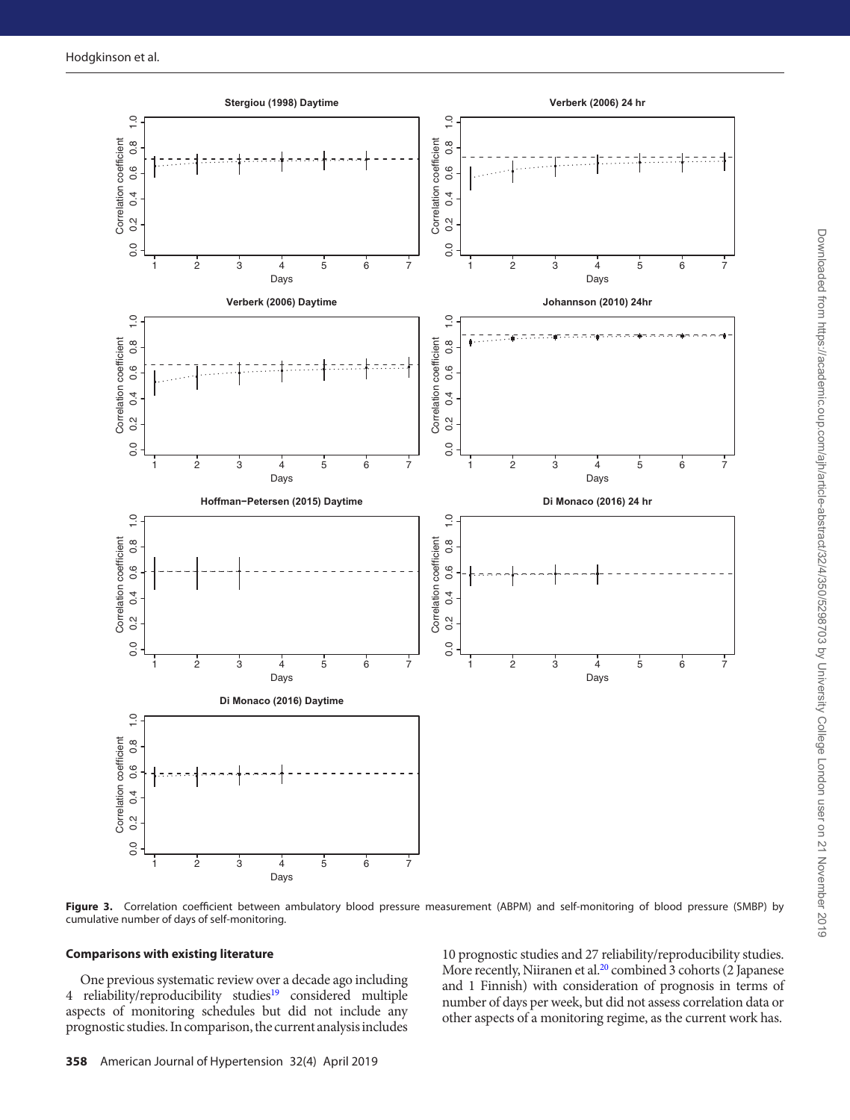

<span id="page-8-0"></span>**Figure 3.** Correlation coefficient between ambulatory blood pressure measurement (ABPM) and self-monitoring of blood pressure (SMBP) by cumulative number of days of self-monitoring.

#### **Comparisons with existing literature**

One previous systematic review over a decade ago including 4 reliability/reproducibility studies<sup>19</sup> considered multiple aspects of monitoring schedules but did not include any prognostic studies. In comparison, the current analysis includes

10 prognostic studies and 27 reliability/reproducibility studies. More recently, Niiranen et al.<sup>20</sup> combined 3 cohorts (2 Japanese and 1 Finnish) with consideration of prognosis in terms of number of days per week, but did not assess correlation data or other aspects of a monitoring regime, as the current work has.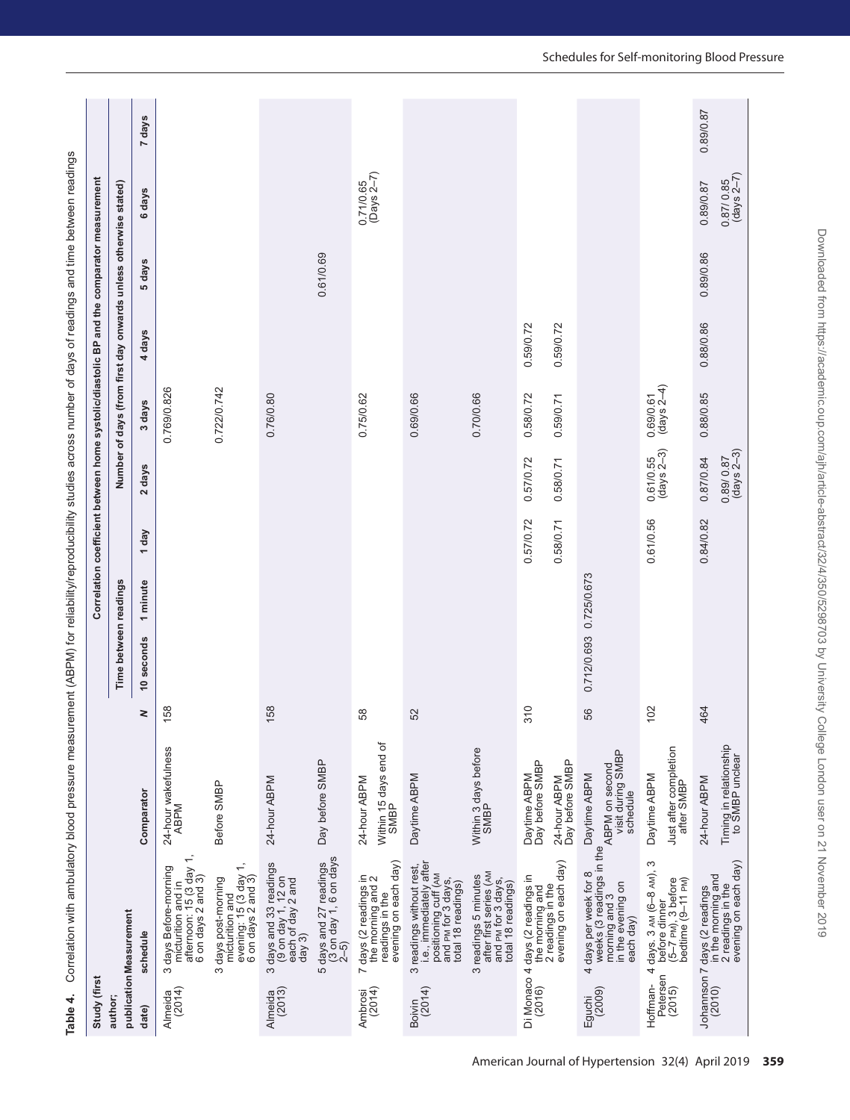| Table 4.                       | Correlation with ambulatory blood pressure measurement (ABPM) for reliability/reproducibility studies across number of days of readings and time between readings |                                                                 |     |                         |           |                                           |                              |           |                                                                                                      |                                           |           |
|--------------------------------|-------------------------------------------------------------------------------------------------------------------------------------------------------------------|-----------------------------------------------------------------|-----|-------------------------|-----------|-------------------------------------------|------------------------------|-----------|------------------------------------------------------------------------------------------------------|-------------------------------------------|-----------|
| Study (first                   |                                                                                                                                                                   |                                                                 |     |                         |           |                                           |                              |           | $\mathtt{Correlation}$ coefficient between home systolic/diastolic BP and the comparator measurement |                                           |           |
| author;                        | publication Measurement                                                                                                                                           |                                                                 |     | Time between readings   |           |                                           |                              |           | Number of days (from first day onwards unless otherwise stated)                                      |                                           |           |
| date)                          | schedule                                                                                                                                                          | Comparator                                                      | 2   | 1 minute<br>10 seconds  | 1 day     | 2 days                                    | 3 days                       | 4 days    | 5 days                                                                                               | 6 days                                    | 7 days    |
| Almeida<br>(2014)              | 1,<br>micturition and in<br>afternoon: 15 (3 day<br>3 days Before-morning<br>6 on days 2 and 3                                                                    | 24-hour wakefulness<br><b>ABPM</b>                              | 158 |                         |           |                                           | 0.769/0.826                  |           |                                                                                                      |                                           |           |
|                                | 1,<br>micturition and<br>evening: 15 (3 day 1<br>6 on days 2 and 3)<br>3 days post-morning                                                                        | Before SMBP                                                     |     |                         |           |                                           | 0.722/0.742                  |           |                                                                                                      |                                           |           |
| Almeida<br>(2013)              | 3 days and 33 readings<br>$(9 \text{ on day 1}, 12 \text{ on}$ each of day 2 and<br>day 3)                                                                        | 24-hour ABPM                                                    | 158 |                         |           |                                           | 0.76/0.80                    |           |                                                                                                      |                                           |           |
|                                | 5 days and 27 readings<br>$(3 \text{ on day 1}, 6 \text{ on days})$                                                                                               | Day before SMBP                                                 |     |                         |           |                                           |                              |           | 0.61/0.69                                                                                            |                                           |           |
| Ambrosi<br>(2014)              | evening on each day)<br>7 days (2 readings in<br>the morning and 2<br>readings in the                                                                             | Within 15 days end of<br>SMBP<br>24-hour ABPM                   | 58  |                         |           |                                           | 0.75/0.62                    |           |                                                                                                      | $0.71/0.65$<br>(Days 2-7)                 |           |
| (2014)<br><b>Boivin</b>        | i.e., immediately after<br>positioning cuff (AM<br>and PM for 3 days,<br>3 readings without rest,<br>total 18 readings)                                           | Daytime ABPM                                                    | 52  |                         |           |                                           | 0.69/0.66                    |           |                                                                                                      |                                           |           |
|                                | after first series (AM<br>and PM for 3 days,<br>3 readings 5 minutes<br>total 18 readings)                                                                        | Within 3 days before<br>SMBP                                    |     |                         |           |                                           | 0.70/0.66                    |           |                                                                                                      |                                           |           |
|                                | Di Monaco 4 days (2 readings in<br>(2016) the morning and<br>2 readings in the                                                                                    | Day before SMBP<br>Daytime ABPM                                 | 310 |                         | 0.57/0.72 | 0.57/0.72                                 | 0.58/0.72                    | 0.59/0.72 |                                                                                                      |                                           |           |
|                                | evening on each day)                                                                                                                                              | Day before SMBP<br>24-hour ABPM                                 |     |                         | 0.58/0.71 | 0.58/0.71                                 | 0.59/0.71                    | 0.59/0.72 |                                                                                                      |                                           |           |
| Eguchi<br>(2009)               | weeks (3 readings in the<br>4 days per week for 8<br>in the evening on<br>moming and 3<br>each day)                                                               | visit during SMBP<br>ABPM on second<br>Daytime ABPM<br>schedule | 56  | 0.712/0.693 0.725/0.673 |           |                                           |                              |           |                                                                                                      |                                           |           |
| Petersen<br>Hoffman-<br>(2015) | S<br>4 days. 3 AM (6-8 AM),<br>$(5-7 \text{ PM})$ , 3 before<br>bedtime $(9-11 \text{ PM})$<br>before dinner                                                      | Just after completion<br>Daytime ABPM<br>after SMBP             | 102 |                         | 0.61/0.56 | $0.61/0.55$<br>(days 2-3)                 | $0.69/0.61$<br>(days $2-4$ ) |           |                                                                                                      |                                           |           |
|                                | evening on each day)<br>Johannson 7 days (2 readings<br>(2010) in the morning and<br>2 readings in the <u>J</u>                                                   | Timing in relationship<br>to SMBP unclear<br>24-hour ABPM       | 464 |                         | 0.84/0.82 | $0.89/0.87$<br>(days $2-3$ )<br>0.87/0.84 | 0.88/0.85                    | 0.88/0.86 | 0.89/0.86                                                                                            | $0.87/0.85$<br>(days $2-7$ )<br>0.89/0.87 | 0.89/0.87 |

<span id="page-9-0"></span>American Journal of Hypertension 32(4) April 2019 **359**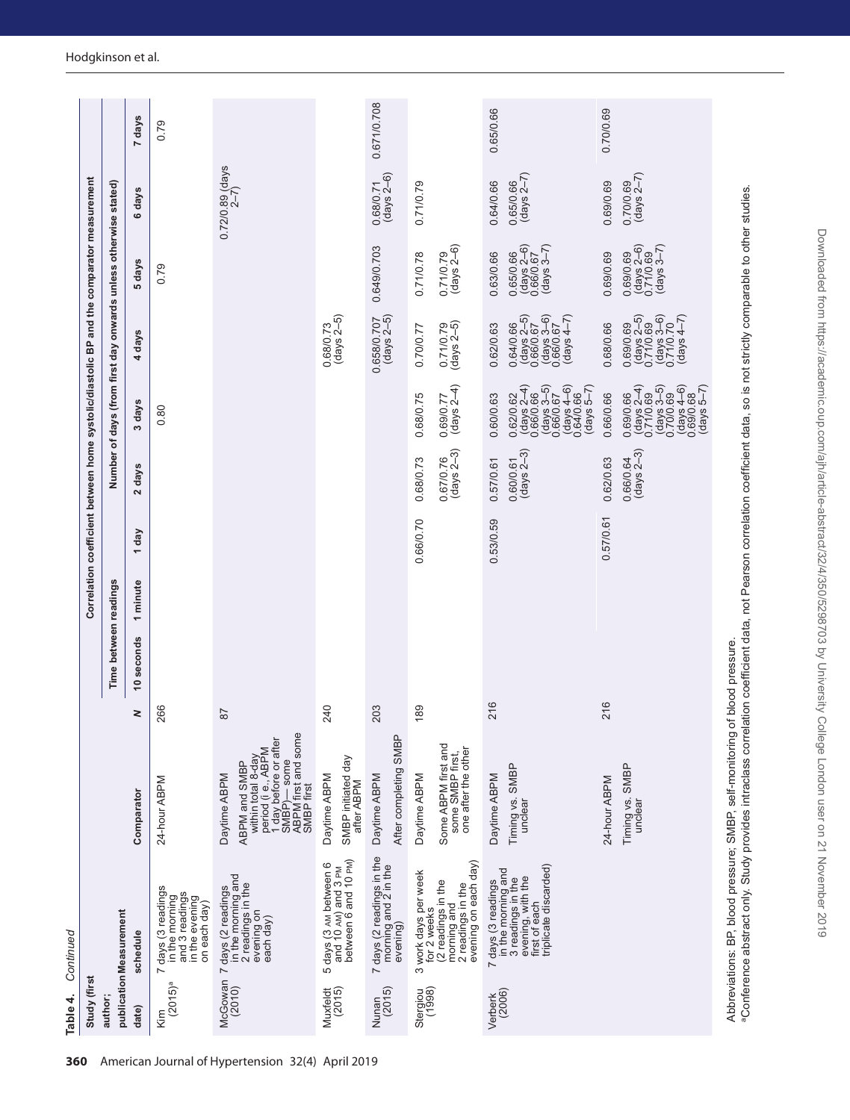| Table 4.           | Continued                                                                                                                    |                                                                                                                                                            |                |                            |          |                       |                                        |                                                                                                                                                                                                                        |                                                                                                                                        |                                                                                           |                                           |             |
|--------------------|------------------------------------------------------------------------------------------------------------------------------|------------------------------------------------------------------------------------------------------------------------------------------------------------|----------------|----------------------------|----------|-----------------------|----------------------------------------|------------------------------------------------------------------------------------------------------------------------------------------------------------------------------------------------------------------------|----------------------------------------------------------------------------------------------------------------------------------------|-------------------------------------------------------------------------------------------|-------------------------------------------|-------------|
| Study (first       |                                                                                                                              |                                                                                                                                                            |                |                            |          |                       |                                        |                                                                                                                                                                                                                        |                                                                                                                                        | Correlation coefficient between home systolic/diastolic BP and the comparator measurement |                                           |             |
| author;            | publication Measurement                                                                                                      |                                                                                                                                                            |                | Time between readings      |          |                       |                                        |                                                                                                                                                                                                                        |                                                                                                                                        | Number of days (from first day onwards unless otherwise stated)                           |                                           |             |
| date)              | schedule                                                                                                                     | Comparator                                                                                                                                                 | 2              | seconds<br>$\overline{10}$ | 1 minute | day<br>$\overline{ }$ | days<br>$\mathbf{\tilde{z}}$           | 3 days                                                                                                                                                                                                                 | 4 days                                                                                                                                 | 5 days                                                                                    | 6 days                                    | 7 days      |
| Kim $(2015)^a$     | 7 days (3 readings<br>in the morning<br>and 3 readings<br>in the evening<br>on each day)                                     | 24-hour ABPM                                                                                                                                               | 266            |                            |          |                       |                                        | 0.80                                                                                                                                                                                                                   |                                                                                                                                        | 0.79                                                                                      |                                           | 0.79        |
| McGowan<br>(2010)  | 7 days (2 readings<br>in the morning and<br>2 readings in the<br>evening on<br>each day)                                     | Ф<br>1 day before or after<br>SMBP)— some<br>ABPM first and som<br>within total 8-day<br>period (i e., ABPM<br>ABPM and SMBP<br>Daytime ABPM<br>SMBP first | $\overline{8}$ |                            |          |                       |                                        |                                                                                                                                                                                                                        |                                                                                                                                        |                                                                                           | $0.72/0.89$ (days                         |             |
| (2015)<br>Muxfeldt | 5 days (3 AM between 6<br>and 10 AM) and 3 PM<br>between 6 and 10 PM)                                                        | SMBP initiated day<br>Daytime ABPM<br>after ABPM                                                                                                           | 240            |                            |          |                       |                                        |                                                                                                                                                                                                                        | $0.68/0.73$<br>(days 2-5)                                                                                                              |                                                                                           |                                           |             |
| Nunan<br>(2015)    | 7 days (2 readings in the<br>morning and 2 in the<br>evening)                                                                | After completing SMBP<br>Daytime ABPM                                                                                                                      | 203            |                            |          |                       |                                        |                                                                                                                                                                                                                        | $0.658/0.707$<br>(days 2-5)                                                                                                            | 0.649/0.703                                                                               | $0.68/0.71$<br>(days 2-6)                 | 0.671/0.708 |
| Stergiou<br>(1998) | evening on each day)<br>3 work days per week<br>(2 readings in the<br>2 readings in the<br>morning and<br>for 2 weeks        | Some ABPM first and<br>some SMBP first,<br>one after the other<br>Daytime ABPM                                                                             | 189            |                            |          | 0.66/0.70             | $0.67/0.76$<br>(days 2-3)<br>0.68/0.73 | $0.69/0.77$<br>(days 2–4)<br>0.68/0.75                                                                                                                                                                                 | $0.71/0.79$<br>(days $2-5$ )<br>0.70/0.77                                                                                              | $0.71/0.79$<br>(days $2-6$ )<br>0.71/0.78                                                 | 0.71/0.79                                 |             |
| Verberk<br>(2006)  | triplicate discarded)<br>in the morning and<br>3 readings in the<br>evening, with the<br>first of each<br>7 days (3 readings | Timing vs. SMBP<br>Daytime ABPM<br>unclear                                                                                                                 | 216            |                            |          | 0.53/0.59             | $0.60/0.61$<br>(days 2-3)<br>0.57/0.61 | $(12)$<br>$(12)$<br>$(16)$<br>$(16)$<br>$(16)$<br>$(16)$<br>$(16)$<br>$(16)$<br>$(16)$<br>$(16)$<br>$(16)$<br>$(16)$<br>$(16)$<br>$(16)$<br>$(16)$<br>$(16)$<br>days $5-7$<br>0.60/0.63<br>0.62/0.62                   | $($ days 2–5)<br>0.66/0.67<br>0.66/0.67<br>0.66/0.67<br>0.69/9 4–7)<br>0.62/0.63<br>0.64/0.66                                          | $0.65/0.66$<br>$(\text{days } 2-6)$<br>$0.66/0.67$<br>$(\text{days } 3-7)$<br>0.63/0.66   | $0.65/0.66$<br>(days $2-7$ )<br>0.64/0.66 | 0.65/0.66   |
|                    |                                                                                                                              | Timing vs. SMBP<br>24-hour ABPM<br>unclear                                                                                                                 | 216            |                            |          | 0.57/0.61             | $0.66/0.64$<br>(days 2-3)<br>0.62/0.63 | $0.69/0.66$<br>$(\text{days } 2-4)$<br>$0.71/0.69$<br>$\begin{array}{c} \text{(days 3--5)}\\ \text{(days 4--6)}\\ \text{(days 4--6)}\\ \text{(days 4--6)}\\ \text{(0.69/0.68)} \end{array}$<br>days $5-7$<br>0.66/0.66 | $\frac{(1.69)(0.69)}{(1.71)(0.69)}$<br>$\begin{array}{c} \text{(days 3–6)} \\ 0.71/0.70 \\ \text{(days 4–7)} \end{array}$<br>0.68/0.66 | $0.69/0.69$<br>$(days 2-6)$<br>$0.71/0.69$<br>$(days 3-7)$<br>0.69/0.69                   | $0.70/0.69$<br>(days $2-7$ )<br>0.69/0.69 | 0.70/0.69   |
|                    |                                                                                                                              |                                                                                                                                                            |                |                            |          |                       |                                        |                                                                                                                                                                                                                        |                                                                                                                                        |                                                                                           |                                           |             |

Downloaded from https://academic.oup.com/ajh/article-abstract/32/4/350/5298703 by University College London user on 21 November 2019

Downloaded from https://academic.oup.com/ajh/article-abstract/32/4/350/5298703 by University College London user on 21 November 2019

**360** American Journal of Hypertension 32(4) April 2019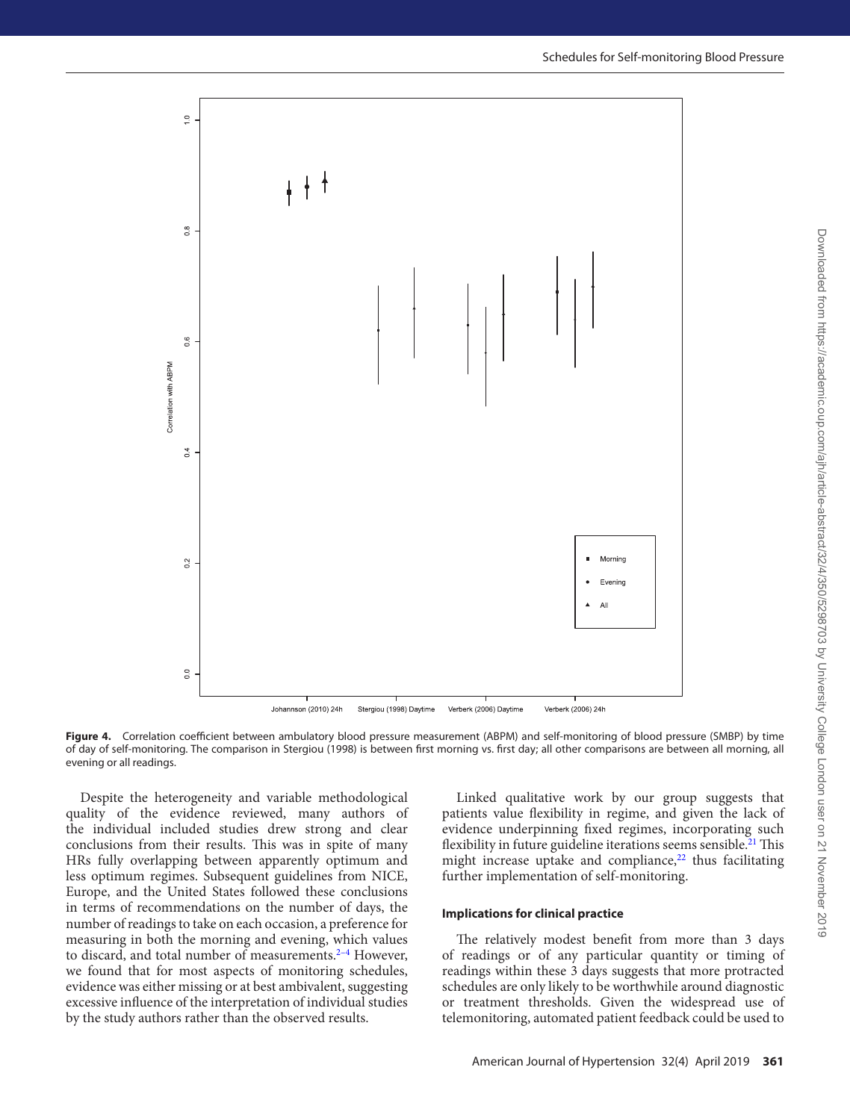

**Figure 4.** Correlation coefficient between ambulatory blood pressure measurement (ABPM) and self-monitoring of blood pressure (SMBP) by time of day of self-monitoring. The comparison in Stergiou (1998) is between first morning vs. first day; all other comparisons are between all morning, all evening or all readings.

Despite the heterogeneity and variable methodological quality of the evidence reviewed, many authors of the individual included studies drew strong and clear conclusions from their results. This was in spite of many HRs fully overlapping between apparently optimum and less optimum regimes. Subsequent guidelines from NICE, Europe, and the United States followed these conclusions in terms of recommendations on the number of days, the number of readings to take on each occasion, a preference for measuring in both the morning and evening, which values to discard, and total number of measurements.<sup>2-4</sup> However, we found that for most aspects of monitoring schedules, evidence was either missing or at best ambivalent, suggesting excessive influence of the interpretation of individual studies by the study authors rather than the observed results.

<span id="page-11-0"></span>Linked qualitative work by our group suggests that patients value flexibility in regime, and given the lack of evidence underpinning fixed regimes, incorporating such flexibility in future guideline iterations seems sensible.<sup>21</sup> This might increase uptake and compliance, $22$  thus facilitating further implementation of self-monitoring.

# **Implications for clinical practice**

The relatively modest benefit from more than 3 days of readings or of any particular quantity or timing of readings within these 3 days suggests that more protracted schedules are only likely to be worthwhile around diagnostic or treatment thresholds. Given the widespread use of telemonitoring, automated patient feedback could be used to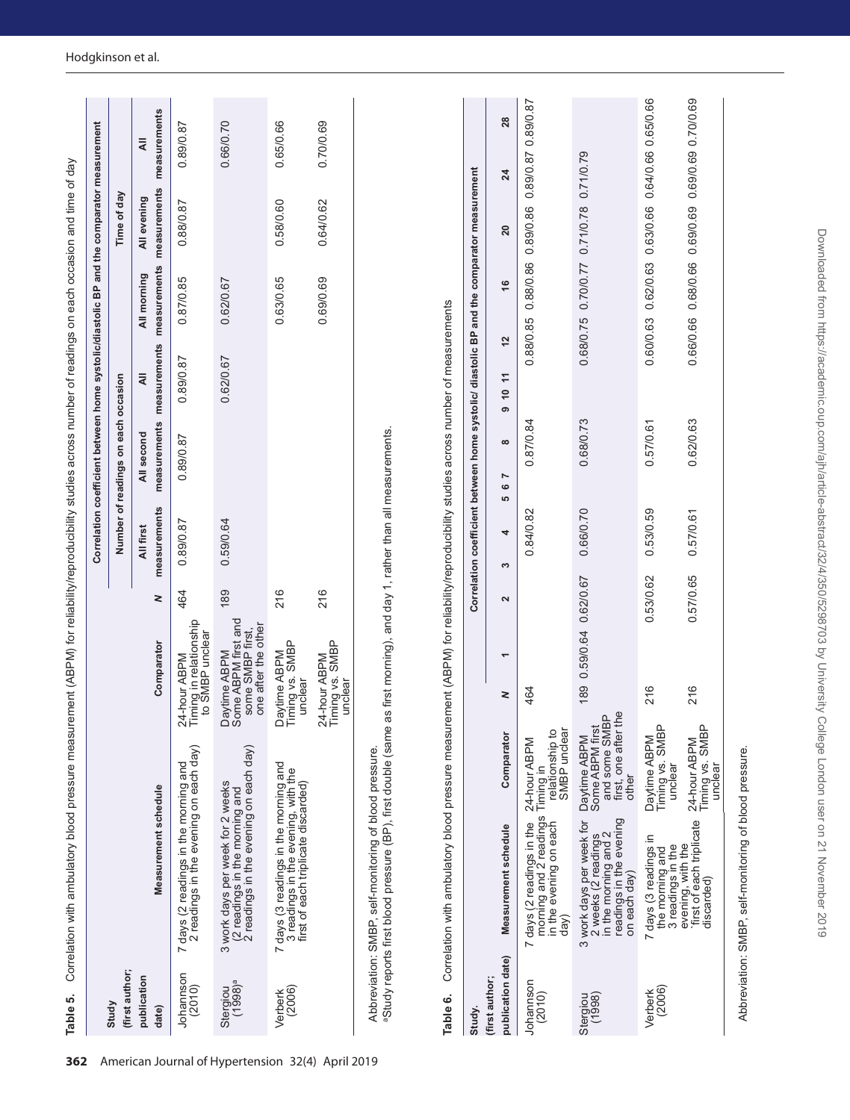| Table 5.                            | Correlation with ambulatory blood pressure measurement (ABPM) for reliability/reproducibility studies across number of readings on each occasion and time of day                                                                                                                                                         |                                                                                   |                                                                                |                   |                                                                                            |                                                                                           |                                                  |                                         |                             |                                                   |  |
|-------------------------------------|--------------------------------------------------------------------------------------------------------------------------------------------------------------------------------------------------------------------------------------------------------------------------------------------------------------------------|-----------------------------------------------------------------------------------|--------------------------------------------------------------------------------|-------------------|--------------------------------------------------------------------------------------------|-------------------------------------------------------------------------------------------|--------------------------------------------------|-----------------------------------------|-----------------------------|---------------------------------------------------|--|
|                                     |                                                                                                                                                                                                                                                                                                                          |                                                                                   |                                                                                |                   |                                                                                            | Correlation coefficient between home systolic/diastolic BP and the comparator measurement |                                                  |                                         |                             |                                                   |  |
| (first author;<br>Study             |                                                                                                                                                                                                                                                                                                                          |                                                                                   |                                                                                |                   |                                                                                            | Number of readings on each occasion                                                       |                                                  |                                         | Time of day                 |                                                   |  |
| publication<br>date)                | Measurement schedule                                                                                                                                                                                                                                                                                                     |                                                                                   | Comparator                                                                     | $\geq$            | measurements<br>All first                                                                  | measurements<br>All second                                                                | measurements<br>₹                                | measurements<br>All morning             | measurements<br>All evening | measurements<br>₹                                 |  |
| Johannson<br>(2010)                 | days (2 readings in the morning and<br>2 readings in the evening on each day)<br>$\overline{ }$                                                                                                                                                                                                                          |                                                                                   | Timing in relationship<br>to SMBP unclear<br>24-hour ABPM                      | 464               | 0.89/0.87                                                                                  | 0.89/0.87                                                                                 | 0.89/0.87                                        | 0.87/0.85                               | 0.88/0.87                   | 0.89/0.87                                         |  |
| Stergiou<br>(1998) <sup>a</sup>     | (2 readings in the morning and<br>2 readings in the evening on each day)<br>3 work days per week for 2 weeks                                                                                                                                                                                                             |                                                                                   | Daytime ABPM<br>Some ABPM first and<br>some SMBP first,<br>one after the other | 189               | 0.59/0.64                                                                                  |                                                                                           | 0.62/0.67                                        | 0.62/0.67                               |                             | 0.66/0.70                                         |  |
| (2006)<br>Verberk                   | 7 days (3 readings in the morning and<br>3 readings in the evening, with the<br>first of each triplicate discarded)                                                                                                                                                                                                      |                                                                                   | Timing vs. SMBP<br>unclear<br>Daytime ABPM                                     | 216               |                                                                                            |                                                                                           |                                                  | 0.63/0.65                               | 0.58/0.60                   | 0.65/0.66                                         |  |
|                                     |                                                                                                                                                                                                                                                                                                                          |                                                                                   | Timing vs. SMBP<br>24-hour ABPM<br>unclear                                     | 216               |                                                                                            |                                                                                           |                                                  | 0.69/0.69                               | 0.64/0.62                   | 0.70/0.69                                         |  |
| Table 6.                            | Correlation with ambulatory blood pressure measurement (ABPM) for reliability/reproducibility studies across number of measurements<br>aStudy reports first blood pressure (BP), first double (same as first morning), and day 1, rather than all measurements<br>Abbreviation: SMBP, self-monitoring of blood pressure. |                                                                                   |                                                                                |                   |                                                                                            |                                                                                           |                                                  |                                         |                             |                                                   |  |
| Study.                              |                                                                                                                                                                                                                                                                                                                          |                                                                                   |                                                                                |                   | Correlation coefficient between home systolic/ diastolic BP and the comparator measurement |                                                                                           |                                                  |                                         |                             |                                                   |  |
| publication date)<br>(first author; | Measurement schedule                                                                                                                                                                                                                                                                                                     | Comparator                                                                        | $\overline{\phantom{0}}$<br>2                                                  | $\mathbf{\Omega}$ | <b>5</b><br>4<br>S                                                                         | $\infty$<br>L<br>$\circ$                                                                  | $\overline{2}$<br>$\div$<br>$\overline{10}$<br>ၜ | 16                                      | $\overline{20}$             | 28<br>24                                          |  |
| Johannson<br>(2010)                 | 7 days (2 readings in the<br>morning and 2 readings<br>in the evening on each<br>day)                                                                                                                                                                                                                                    | relationship to<br>SMBP unclear<br>24-hour ABPM<br>relationship<br>Timing in      | 464                                                                            |                   | 0.84/0.82                                                                                  | 0.87/0.84                                                                                 |                                                  | 0.88/0.86<br>0.88/0.85                  | 0.89/0.86                   | 0.89/0.87 0.89/0.87                               |  |
| Stergiou<br>(1998)                  | 3 work days per week for I<br>2 weeks (2 readings<br>in the morning and 2<br>readings in the evening<br>on each day)                                                                                                                                                                                                     | first, one after the<br>and some SMBP<br>Daytime ABPM<br>Some ABPM first<br>other | 189 0.59/0.64 0.62/0.67                                                        |                   | 0.66/0.70                                                                                  | 0.68/0.73                                                                                 |                                                  | 0.68/0.75 0.70/0.77 0.71/0.78 0.71/0.79 |                             |                                                   |  |
| (2006)<br>Verberk                   | 7 days (3 readings in<br>the morning and                                                                                                                                                                                                                                                                                 | Daytime ABPM<br>Timing vs. SMBP<br>unclear                                        | 216                                                                            | 0.53/0.62         | 0.53/0.59                                                                                  | 0.57/0.61                                                                                 | 0.60/0.63                                        | 0.62/0.63                               | 0.63/0.66                   | 0.64/0.66 0.65/0.66                               |  |
|                                     | 3 readings in the<br>evening, with the<br>`first of each triplicate<br>discarded)                                                                                                                                                                                                                                        | 24-hour ABPM<br>Timing vs. SMBP                                                   | 216                                                                            | 0.57/0.65         | 0.57/0.61                                                                                  | 0.62/0.63                                                                                 |                                                  |                                         |                             | 0.66/0.66 0.68/0.66 0.69/0.69 0.69/0.69 0.70/0.69 |  |

<span id="page-12-1"></span><span id="page-12-0"></span>**362** American Journal of Hypertension 32(4) April 2019

24-hour ABPM Timing vs. SMBP 24-hour ABPM<br>Timing vs. SMBP<br>unclear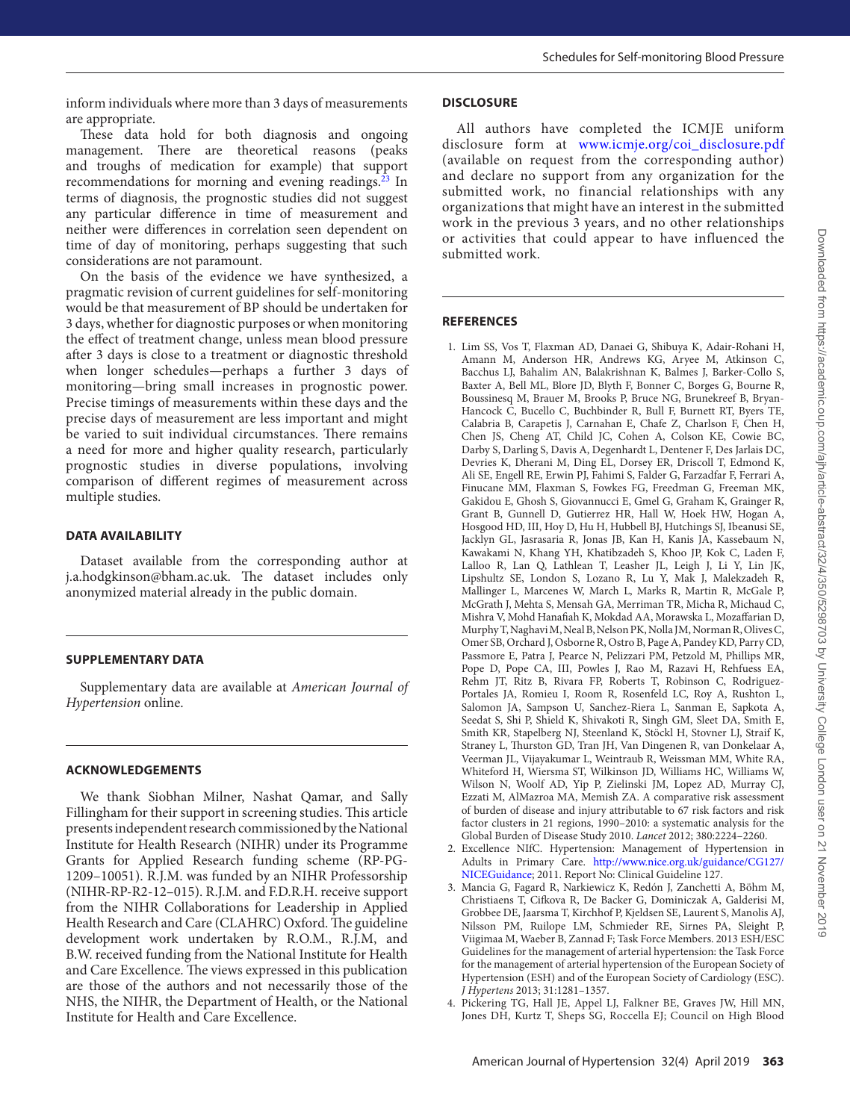inform individuals where more than 3 days of measurements are appropriate.

# These data hold for both diagnosis and ongoing management. There are theoretical reasons (peaks and troughs of medication for example) that support recommendations for morning and evening readings.<sup>23</sup> In terms of diagnosis, the prognostic studies did not suggest any particular difference in time of measurement and neither were differences in correlation seen dependent on time of day of monitoring, perhaps suggesting that such considerations are not paramount.

On the basis of the evidence we have synthesized, a pragmatic revision of current guidelines for self-monitoring would be that measurement of BP should be undertaken for 3 days, whether for diagnostic purposes or when monitoring the effect of treatment change, unless mean blood pressure after 3 days is close to a treatment or diagnostic threshold when longer schedules—perhaps a further 3 days of monitoring—bring small increases in prognostic power. Precise timings of measurements within these days and the precise days of measurement are less important and might be varied to suit individual circumstances. There remains a need for more and higher quality research, particularly prognostic studies in diverse populations, involving comparison of different regimes of measurement across multiple studies.

# **DATA AVAILABILITY**

Dataset available from the corresponding author at j.a.hodgkinson@bham.ac.uk. The dataset includes only anonymized material already in the public domain.

# **SUPPLEMENTARY DATA**

Supplementary data are available at *American Journal of Hypertension* online.

# **ACKNOWLEDGEMENTS**

We thank Siobhan Milner, Nashat Qamar, and Sally Fillingham for their support in screening studies. This article presents independent research commissioned by the National Institute for Health Research (NIHR) under its Programme Grants for Applied Research funding scheme (RP-PG-1209–10051). R.J.M. was funded by an NIHR Professorship (NIHR-RP-R2-12–015). R.J.M. and F.D.R.H. receive support from the NIHR Collaborations for Leadership in Applied Health Research and Care (CLAHRC) Oxford. The guideline development work undertaken by R.O.M., R.J.M, and B.W. received funding from the National Institute for Health and Care Excellence. The views expressed in this publication are those of the authors and not necessarily those of the NHS, the NIHR, the Department of Health, or the National Institute for Health and Care Excellence.

# **DISCLOSURE**

All authors have completed the ICMJE uniform disclosure form at [www.icmje.org/coi\\_disclosure.pdf](http://www.icmje.org/coi_disclosure.pdf) (available on request from the corresponding author) and declare no support from any organization for the submitted work, no financial relationships with any organizations that might have an interest in the submitted work in the previous 3 years, and no other relationships or activities that could appear to have influenced the submitted work.

# **REFERENCES**

- <span id="page-13-0"></span>1. Lim SS, Vos T, Flaxman AD, Danaei G, Shibuya K, Adair-Rohani H, Amann M, Anderson HR, Andrews KG, Aryee M, Atkinson C, Bacchus LJ, Bahalim AN, Balakrishnan K, Balmes J, Barker-Collo S, Baxter A, Bell ML, Blore JD, Blyth F, Bonner C, Borges G, Bourne R, Boussinesq M, Brauer M, Brooks P, Bruce NG, Brunekreef B, Bryan-Hancock C, Bucello C, Buchbinder R, Bull F, Burnett RT, Byers TE, Calabria B, Carapetis J, Carnahan E, Chafe Z, Charlson F, Chen H, Chen JS, Cheng AT, Child JC, Cohen A, Colson KE, Cowie BC, Darby S, Darling S, Davis A, Degenhardt L, Dentener F, Des Jarlais DC, Devries K, Dherani M, Ding EL, Dorsey ER, Driscoll T, Edmond K, Ali SE, Engell RE, Erwin PJ, Fahimi S, Falder G, Farzadfar F, Ferrari A, Finucane MM, Flaxman S, Fowkes FG, Freedman G, Freeman MK, Gakidou E, Ghosh S, Giovannucci E, Gmel G, Graham K, Grainger R, Grant B, Gunnell D, Gutierrez HR, Hall W, Hoek HW, Hogan A, Hosgood HD, III, Hoy D, Hu H, Hubbell BJ, Hutchings SJ, Ibeanusi SE, Jacklyn GL, Jasrasaria R, Jonas JB, Kan H, Kanis JA, Kassebaum N, Kawakami N, Khang YH, Khatibzadeh S, Khoo JP, Kok C, Laden F, Lalloo R, Lan Q, Lathlean T, Leasher JL, Leigh J, Li Y, Lin JK, Lipshultz SE, London S, Lozano R, Lu Y, Mak J, Malekzadeh R, Mallinger L, Marcenes W, March L, Marks R, Martin R, McGale P, McGrath J, Mehta S, Mensah GA, Merriman TR, Micha R, Michaud C, Mishra V, Mohd Hanafiah K, Mokdad AA, Morawska L, Mozaffarian D, Murphy T, Naghavi M, Neal B, Nelson PK, Nolla JM, Norman R, Olives C, Omer SB, Orchard J, Osborne R, Ostro B, Page A, Pandey KD, Parry CD, Passmore E, Patra J, Pearce N, Pelizzari PM, Petzold M, Phillips MR, Pope D, Pope CA, III, Powles J, Rao M, Razavi H, Rehfuess EA, Rehm JT, Ritz B, Rivara FP, Roberts T, Robinson C, Rodriguez-Portales JA, Romieu I, Room R, Rosenfeld LC, Roy A, Rushton L, Salomon JA, Sampson U, Sanchez-Riera L, Sanman E, Sapkota A, Seedat S, Shi P, Shield K, Shivakoti R, Singh GM, Sleet DA, Smith E, Smith KR, Stapelberg NJ, Steenland K, Stöckl H, Stovner LJ, Straif K, Straney L, Thurston GD, Tran JH, Van Dingenen R, van Donkelaar A, Veerman JL, Vijayakumar L, Weintraub R, Weissman MM, White RA, Whiteford H, Wiersma ST, Wilkinson JD, Williams HC, Williams W, Wilson N, Woolf AD, Yip P, Zielinski JM, Lopez AD, Murray CJ, Ezzati M, AlMazroa MA, Memish ZA. A comparative risk assessment of burden of disease and injury attributable to 67 risk factors and risk factor clusters in 21 regions, 1990–2010: a systematic analysis for the Global Burden of Disease Study 2010. *Lancet* 2012; 380:2224–2260.
- <span id="page-13-1"></span>2. Excellence NIfC. Hypertension: Management of Hypertension in Adults in Primary Care. [http://www.nice.org.uk/guidance/CG127/](http://www.nice.org.uk/guidance/CG127/NICEGuidance) [NICEGuidance;](http://www.nice.org.uk/guidance/CG127/NICEGuidance) 2011. Report No: Clinical Guideline 127.
- <span id="page-13-2"></span>3. Mancia G, Fagard R, Narkiewicz K, Redón J, Zanchetti A, Böhm M, Christiaens T, Cifkova R, De Backer G, Dominiczak A, Galderisi M, Grobbee DE, Jaarsma T, Kirchhof P, Kjeldsen SE, Laurent S, Manolis AJ, Nilsson PM, Ruilope LM, Schmieder RE, Sirnes PA, Sleight P, Viigimaa M, Waeber B, Zannad F; Task Force Members. 2013 ESH/ESC Guidelines for the management of arterial hypertension: the Task Force for the management of arterial hypertension of the European Society of Hypertension (ESH) and of the European Society of Cardiology (ESC). *J Hypertens* 2013; 31:1281–1357.
- 4. Pickering TG, Hall JE, Appel LJ, Falkner BE, Graves JW, Hill MN, Jones DH, Kurtz T, Sheps SG, Roccella EJ; Council on High Blood